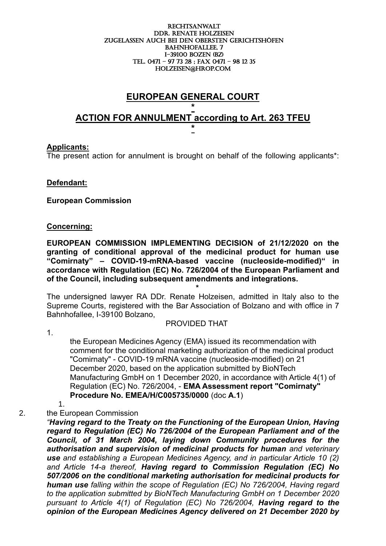#### RECHTSANWALT DDr. Renate holzeisen ZUGELASSEN AUCH BEI DEN OBERSTEN GERICHTSHÖFEN BAHNHOFALLEE, 7 I-39100 boZEN (BZ) Tel. 0471 – 97 73 28 ; fax 0471 – 98 12 35 holzeisen@hrop.com

# **EUROPEAN GENERAL COURT**

## **\* ACTION FOR ANNULMENT according to Art. 263 TFEU \***

#### **Applicants:**

The present action for annulment is brought on behalf of the following applicants\*:

#### **Defendant:**

#### **European Commission**

**\*** 

#### **Concerning:**

**EUROPEAN COMMISSION IMPLEMENTING DECISION of 21/12/2020 on the granting of conditional approval of the medicinal product for human use "Comirnaty" – COVID-19-mRNA-based vaccine (nucleoside-modified)" in accordance with Regulation (EC) No. 726/2004 of the European Parliament and of the Council, including subsequent amendments and integrations.**

The undersigned lawyer RA DDr. Renate Holzeisen, admitted in Italy also to the Supreme Courts, registered with the Bar Association of Bolzano and with office in 7 Bahnhofallee, I-39100 Bolzano,

#### PROVIDED THAT

1.

the European Medicines Agency (EMA) issued its recommendation with comment for the conditional marketing authorization of the medicinal product "Comirnaty" - COVID-19 mRNA vaccine (nucleoside-modified) on 21 December 2020, based on the application submitted by BioNTech Manufacturing GmbH on 1 December 2020, in accordance with Article 4(1) of Regulation (EC) No. 726/2004, - **EMA Assessment report "Comirnaty" Procedure No. EMEA/H/C005735/0000** (doc **A.1**)

1.

#### 2. the European Commission

*"Having regard to the Treaty on the Functioning of the European Union, Having regard to Regulation (EC) No 726/2004 of the European Parliament and of the Council, of 31 March 2004, laying down Community procedures for the authorisation and supervision of medicinal products for human and veterinary use and establishing a European Medicines Agency, and in particular Article 10 (2) and Article 14-a thereof, Having regard to Commission Regulation (EC) No 507/2006 on the conditional marketing authorisation for medicinal products for human use falling within the scope of Regulation (EC) No 726/2004, Having regard to the application submitted by BioNTech Manufacturing GmbH on 1 December 2020*  pursuant to Article 4(1) of Regulation (EC) No 726/2004, **Having regard to the** *opinion of the European Medicines Agency delivered on 21 December 2020 by*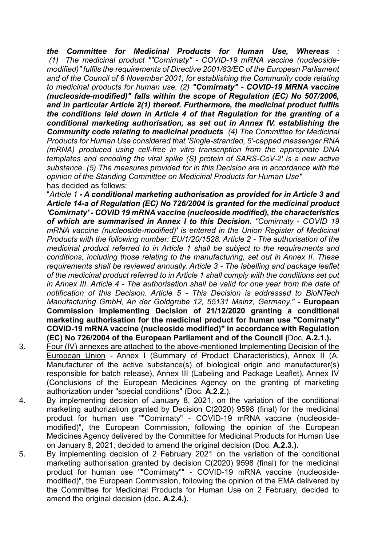*the Committee for Medicinal Products for Human Use, Whereas : (1) The medicinal product ""Comirnaty" - COVID-19 mRNA vaccine (nucleosidemodified)" fulfils the requirements of Directive 2001/83/EC of the European Parliament and of the Council of 6 November 2001, for establishing the Community code relating to medicinal products for human use. (2) "Comirnaty" - COVID-19 MRNA vaccine (nucleoside-modified)" falls within the scope of Regulation (EC) No 507/2006, and in particular Article 2(1) thereof. Furthermore, the medicinal product fulfils the conditions laid down in Article 4 of that Regulation for the granting of a conditional marketing authorisation, as set out in Annex IV. establishing the Community code relating to medicinal products (4) The Committee for Medicinal Products for Human Use considered that 'Single-stranded, 5'-capped messenger RNA (mRNA) produced using cell-free in vitro transcription from the appropriate DNA templates and encoding the viral spike (S) protein of SARS-CoV-2' is a new active substance. (5) The measures provided for in this Decision are in accordance with the opinion of the Standing Committee on Medicinal Products for Human Use"* has decided as follows:

"*Article 1 - A conditional marketing authorisation as provided for in Article 3 and Article 14-a of Regulation (EC) No 726/2004 is granted for the medicinal product 'Comirnaty' - COVID 19 mRNA vaccine (nucleoside modified), the characteristics of which are summarised in Annex I to this Decision. "Comirnaty - COVID 19 mRNA vaccine (nucleoside-modified)' is entered in the Union Register of Medicinal Products with the following number: EU/1/20/1528. Article 2 - The authorisation of the medicinal product referred to in Article 1 shall be subject to the requirements and conditions, including those relating to the manufacturing, set out in Annex II. These requirements shall be reviewed annually. Article 3 - The labelling and package leaflet of the medicinal product referred to in Article 1 shall comply with the conditions set out in Annex III. Article 4 - The authorisation shall be valid for one year from the date of notification of this Decision. Article 5 - This Decision is addressed to BioNTech Manufacturing GmbH, An der Goldgrube 12, 55131 Mainz, Germany."* **- European Commission Implementing Decision of 21/12/2020 granting a conditional marketing authorisation for the medicinal product for human use "Comirnaty" COVID-19 mRNA vaccine (nucleoside modified)" in accordance with Regulation (EC) No 726/2004 of the European Parliament and of the Council (**Doc. **A.2.1.).**

- 3. Four (IV) annexes are attached to the above-mentioned Implementing Decision of the European Union - Annex I (Summary of Product Characteristics), Annex II (A. Manufacturer of the active substance(s) of biological origin and manufacturer(s) responsible for batch release), Annex III (Labeling and Package Leaflet), Annex IV (Conclusions of the European Medicines Agency on the granting of marketing authorization under "special conditions" (Doc. **A.2.2.**).
- 4. By implementing decision of January 8, 2021, on the variation of the conditional marketing authorization granted by Decision C(2020) 9598 (final) for the medicinal product for human use ""Comirnaty" - COVID-19 mRNA vaccine (nucleosidemodified)", the European Commission, following the opinion of the European Medicines Agency delivered by the Committee for Medicinal Products for Human Use on January 8, 2021, decided to amend the original decision (Doc. **A.2.3.).**
- 5. By implementing decision of 2 February 2021 on the variation of the conditional marketing authorisation granted by decision C(2020) 9598 (final) for the medicinal product for human use ""Comirnaty"" - COVID-19 mRNA vaccine (nucleosidemodified)", the European Commission, following the opinion of the EMA delivered by the Committee for Medicinal Products for Human Use on 2 February, decided to amend the original decision (doc**. A.2.4.).**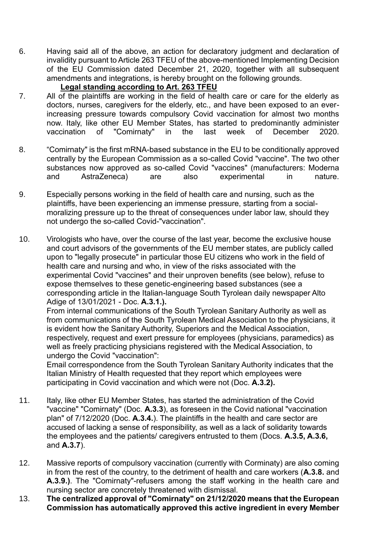6. Having said all of the above, an action for declaratory judgment and declaration of invalidity pursuant to Article 263 TFEU of the above-mentioned Implementing Decision of the EU Commission dated December 21, 2020, together with all subsequent amendments and integrations, is hereby brought on the following grounds.

## **Legal standing according to Art. 263 TFEU**

- 7. All of the plaintiffs are working in the field of health care or care for the elderly as doctors, nurses, caregivers for the elderly, etc., and have been exposed to an everincreasing pressure towards compulsory Covid vaccination for almost two months now. Italy, like other EU Member States, has started to predominantly administer vaccination of "Comirnaty" in the last week of December 2020.
- 8. "Comirnaty" is the first mRNA-based substance in the EU to be conditionally approved centrally by the European Commission as a so-called Covid "vaccine". The two other substances now approved as so-called Covid "vaccines" (manufacturers: Moderna and AstraZeneca) are also experimental in nature.
- 9. Especially persons working in the field of health care and nursing, such as the plaintiffs, have been experiencing an immense pressure, starting from a socialmoralizing pressure up to the threat of consequences under labor law, should they not undergo the so-called Covid-"vaccination".
- 10. Virologists who have, over the course of the last year, become the exclusive house and court advisors of the governments of the EU member states, are publicly called upon to "legally prosecute" in particular those EU citizens who work in the field of health care and nursing and who, in view of the risks associated with the experimental Covid "vaccines" and their unproven benefits (see below), refuse to expose themselves to these genetic-engineering based substances (see a corresponding article in the Italian-language South Tyrolean daily newspaper Alto Adige of 13/01/2021 - Doc. **A.3.1.).**

From internal communications of the South Tyrolean Sanitary Authority as well as from communications of the South Tyrolean Medical Association to the physicians, it is evident how the Sanitary Authority, Superiors and the Medical Association, respectively, request and exert pressure for employees (physicians, paramedics) as well as freely practicing physicians registered with the Medical Association, to undergo the Covid "vaccination":

Email correspondence from the South Tyrolean Sanitary Authority indicates that the Italian Ministry of Health requested that they report which employees were participating in Covid vaccination and which were not (Doc. **A.3.2).**

- 11. Italy, like other EU Member States, has started the administration of the Covid "vaccine" "Comirnaty" (Doc. **A.3.3**), as foreseen in the Covid national "vaccination plan" of 7/12/2020 (Doc. **A.3.4.**). The plaintiffs in the health and care sector are accused of lacking a sense of responsibility, as well as a lack of solidarity towards the employees and the patients/ caregivers entrusted to them (Docs. **A.3.5, A.3.6,** and **A.3.7**).
- 12. Massive reports of compulsory vaccination (currently with Corminaty) are also coming in from the rest of the country, to the detriment of health and care workers (**A.3.8.** and **A.3.9.)**. The "Comirnaty"-refusers among the staff working in the health care and nursing sector are concretely threatened with dismissal.
- 13. **The centralized approval of "Comirnaty" on 21/12/2020 means that the European Commission has automatically approved this active ingredient in every Member**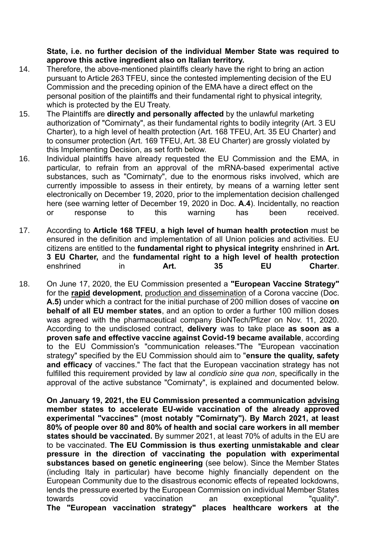**State, i.e. no further decision of the individual Member State was required to approve this active ingredient also on Italian territory.**

- 14. Therefore, the above-mentioned plaintiffs clearly have the right to bring an action pursuant to Article 263 TFEU, since the contested implementing decision of the EU Commission and the preceding opinion of the EMA have a direct effect on the personal position of the plaintiffs and their fundamental right to physical integrity, which is protected by the EU Treaty.
- 15. The Plaintiffs are **directly and personally affected** by the unlawful marketing authorization of "Comirnaty", as their fundamental rights to bodily integrity (Art. 3 EU Charter), to a high level of health protection (Art. 168 TFEU, Art. 35 EU Charter) and to consumer protection (Art. 169 TFEU, Art. 38 EU Charter) are grossly violated by this Implementing Decision, as set forth below.
- 16. Individual plaintiffs have already requested the EU Commission and the EMA, in particular, to refrain from an approval of the mRNA-based experimental active substances, such as "Comirnaty", due to the enormous risks involved, which are currently impossible to assess in their entirety, by means of a warning letter sent electronically on December 19, 2020, prior to the implementation decision challenged here (see warning letter of December 19, 2020 in Doc. **A.4**). Incidentally, no reaction or response to this warning has been received.
- 17. According to **Article 168 TFEU**, **a high level of human health protection** must be ensured in the definition and implementation of all Union policies and activities. EU citizens are entitled to the **fundamental right to physical integrity** enshrined in **Art. 3 EU Charter,** and the **fundamental right to a high level of health protection** enshrined in **Art. 35 EU Charter**.
- 18. On June 17, 2020, the EU Commission presented a **"European Vaccine Strategy"** for the **rapid development**, production and dissemination of a Corona vaccine (Doc. **A.5)** under which a contract for the initial purchase of 200 million doses of vaccine **on behalf of all EU member states**, and an option to order a further 100 million doses was agreed with the pharmaceutical company BioNTech/Pfizer on Nov. 11, 2020. According to the undisclosed contract, **delivery** was to take place **as soon as a proven safe and effective vaccine against Covid-19 became available**, according to the EU Commission's "communication releases."The "European vaccination strategy" specified by the EU Commission should aim to "**ensure the quality, safety and efficacy** of vaccines." The fact that the European vaccination strategy has not fulfilled this requirement provided by law al *condicio sine qua non*, specifically in the approval of the active substance "Comirnaty", is explained and documented below.

**On January 19, 2021, the EU Commission presented a communication advising member states to accelerate EU-wide vaccination of the already approved experimental "vaccines" (most notably "Comirnaty"). By March 2021, at least 80% of people over 80 and 80% of health and social care workers in all member states should be vaccinated.** By summer 2021, at least 70% of adults in the EU are to be vaccinated. **The EU Commission is thus exerting unmistakable and clear pressure in the direction of vaccinating the population with experimental substances based on genetic engineering** (see below). Since the Member States (including Italy in particular) have become highly financially dependent on the European Community due to the disastrous economic effects of repeated lockdowns, lends the pressure exerted by the European Commission on individual Member States towards covid vaccination an exceptional "quality". **The "European vaccination strategy" places healthcare workers at the**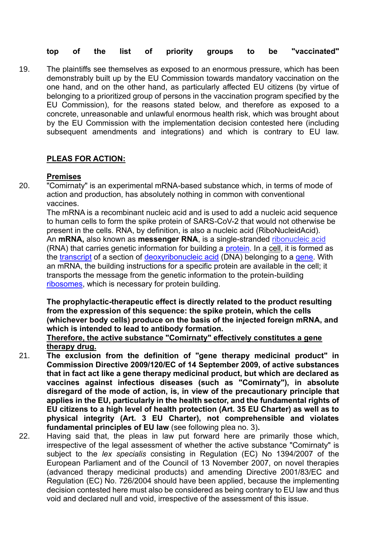## **top of the list of priority groups to be "vaccinated"**

19. The plaintiffs see themselves as exposed to an enormous pressure, which has been demonstrably built up by the EU Commission towards mandatory vaccination on the one hand, and on the other hand, as particularly affected EU citizens (by virtue of belonging to a prioritized group of persons in the vaccination program specified by the EU Commission), for the reasons stated below, and therefore as exposed to a concrete, unreasonable and unlawful enormous health risk, which was brought about by the EU Commission with the implementation decision contested here (including subsequent amendments and integrations) and which is contrary to EU law.

## **PLEAS FOR ACTION:**

#### **Premises**

20. "Comirnaty" is an experimental mRNA-based substance which, in terms of mode of action and production, has absolutely nothing in common with conventional vaccines.

The mRNA is a recombinant nucleic acid and is used to add a nucleic acid sequence to human cells to form the spike protein of SARS-CoV-2 that would not otherwise be present in the cells. RNA, by definition, is also a nucleic acid (RiboNucleidAcid). An **mRNA,** also known as **messenger RNA**, is a single-stranded ribonucleic acid (RNA) that carries genetic information for building a protein. In a cell, it is formed as the transcript of a section of deoxyribonucleic acid (DNA) belonging to a gene. With an mRNA, the building instructions for a specific protein are available in the cell; it transports the message from the genetic information to the protein-building ribosomes, which is necessary for protein building.

**The prophylactic-therapeutic effect is directly related to the product resulting from the expression of this sequence: the spike protein, which the cells (whichever body cells) produce on the basis of the injected foreign mRNA, and which is intended to lead to antibody formation.**

### **Therefore, the active substance "Comirnaty" effectively constitutes a gene therapy drug.**

- 21. **The exclusion from the definition of "gene therapy medicinal product" in Commission Directive 2009/120/EC of 14 September 2009, of active substances that in fact act like a gene therapy medicinal product, but which are declared as vaccines against infectious diseases (such as "Comirnaty"), in absolute disregard of the mode of action, is, in view of the precautionary principle that applies in the EU, particularly in the health sector, and the fundamental rights of EU citizens to a high level of health protection (Art. 35 EU Charter) as well as to physical integrity (Art. 3 EU Charter), not comprehensible and violates fundamental principles of EU law** (see following plea no. 3)**.**
- 22. Having said that, the pleas in law put forward here are primarily those which, irrespective of the legal assessment of whether the active substance "Comirnaty" is subject to the *lex specialis* consisting in Regulation (EC) No 1394/2007 of the European Parliament and of the Council of 13 November 2007, on novel therapies (advanced therapy medicinal products) and amending Directive 2001/83/EC and Regulation (EC) No. 726/2004 should have been applied, because the implementing decision contested here must also be considered as being contrary to EU law and thus void and declared null and void, irrespective of the assessment of this issue.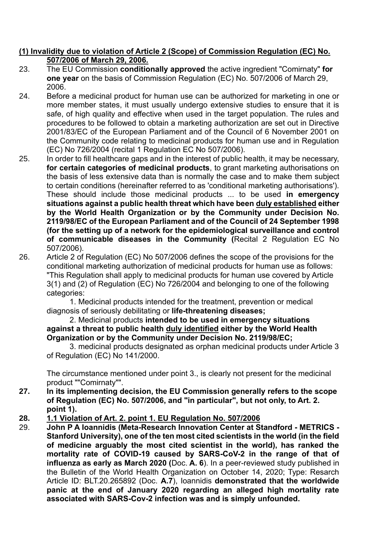## **(1) Invalidity due to violation of Article 2 (Scope) of Commission Regulation (EC) No. 507/2006 of March 29, 2006.**

- 23. The EU Commission **conditionally approved** the active ingredient "Comirnaty" **for one year** on the basis of Commission Regulation (EC) No. 507/2006 of March 29, 2006.
- 24. Before a medicinal product for human use can be authorized for marketing in one or more member states, it must usually undergo extensive studies to ensure that it is safe, of high quality and effective when used in the target population. The rules and procedures to be followed to obtain a marketing authorization are set out in Directive 2001/83/EC of the European Parliament and of the Council of 6 November 2001 on the Community code relating to medicinal products for human use and in Regulation (EC) No 726/2004 (recital 1 Regulation EC No 507/2006).
- 25. In order to fill healthcare gaps and in the interest of public health, it may be necessary, **for certain categories of medicinal products**, to grant marketing authorisations on the basis of less extensive data than is normally the case and to make them subject to certain conditions (hereinafter referred to as 'conditional marketing authorisations'). These should include those medicinal products ... to be used **in emergency situations against a public health threat which have been duly established either by the World Health Organization or by the Community under Decision No. 2119/98/EC of the European Parliament and of the Council of 24 September 1998 (for the setting up of a network for the epidemiological surveillance and control of communicable diseases in the Community (**Recital 2 Regulation EC No 507/2006).
- 26. Article 2 of Regulation (EC) No 507/2006 defines the scope of the provisions for the conditional marketing authorization of medicinal products for human use as follows: "This Regulation shall apply to medicinal products for human use covered by Article 3(1) and (2) of Regulation (EC) No 726/2004 and belonging to one of the following categories:

1. Medicinal products intended for the treatment, prevention or medical diagnosis of seriously debilitating or **life-threatening diseases;**

2. Medicinal products **intended to be used in emergency situations against a threat to public health duly identified either by the World Health Organization or by the Community under Decision No. 2119/98/EC;**

3. medicinal products designated as orphan medicinal products under Article 3 of Regulation (EC) No 141/2000.

The circumstance mentioned under point 3., is clearly not present for the medicinal product ""Comirnaty"".

- **27. In its implementing decision, the EU Commission generally refers to the scope of Regulation (EC) No. 507/2006, and "in particular", but not only, to Art. 2. point 1).**
- **28. 1.1 Violation of Art. 2. point 1. EU Regulation No. 507/2006**
- 29. **John P A Ioannidis (Meta-Research Innovation Center at Standford - METRICS - Stanford University), one of the ten most cited scientists in the world (in the field of medicine arguably the most cited scientist in the world), has ranked the mortality rate of COVID-19 caused by SARS-CoV-2 in the range of that of influenza as early as March 2020 (**Doc. **A. 6**). In a peer-reviewed study published in the Bulletin of the World Health Organization on October 14, 2020; Type: Resarch Article ID: BLT.20.265892 (Doc. **A.7**), Ioannidis **demonstrated that the worldwide panic at the end of January 2020 regarding an alleged high mortality rate associated with SARS-Cov-2 infection was and is simply unfounded.**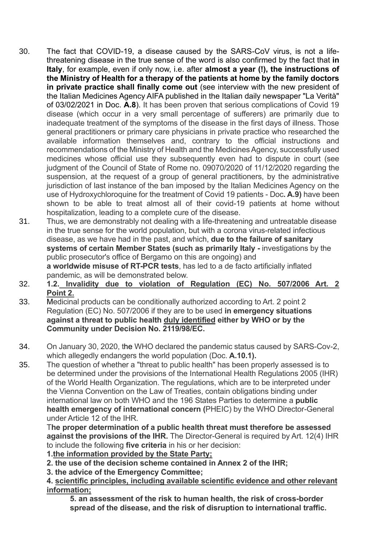- 30. The fact that COVID-19, a disease caused by the SARS-CoV virus, is not a lifethreatening disease in the true sense of the word is also confirmed by the fact that **in Italy**, for example, even if only now, i.e. after **almost a year (!), the instructions of the Ministry of Health for a therapy of the patients at home by the family doctors in private practice shall finally come out** (see interview with the new president of the Italian Medicines Agency AIFA published in the Italian daily newspaper "La Verità" of 03/02/2021 in Doc. **A.8**). It has been proven that serious complications of Covid 19 disease (which occur in a very small percentage of sufferers) are primarily due to inadequate treatment of the symptoms of the disease in the first days of illness. Those general practitioners or primary care physicians in private practice who researched the available information themselves and, contrary to the official instructions and recommendations of the Ministry of Health and the Medicines Agency, successfully used medicines whose official use they subsequently even had to dispute in court (see judgment of the Council of State of Rome no. 09070/2020 of 11/12/2020 regarding the suspension, at the request of a group of general practitioners, by the administrative jurisdiction of last instance of the ban imposed by the Italian Medicines Agency on the use of Hydroxychloroquine for the treatment of Covid 19 patients - Doc**. A.9)** have been shown to be able to treat almost all of their covid-19 patients at home without hospitalization, leading to a complete cure of the disease.
- 31. Thus, we are demonstrably not dealing with a life-threatening and untreatable disease in the true sense for the world population, but with a corona virus-related infectious disease, as we have had in the past, and which, **due to the failure of sanitary systems of certain Member States (such as primarily Italy -** investigations by the public prosecutor's office of Bergamo on this are ongoing) and **a worldwide misuse of RT-PCR tests**, has led to a de facto artificially inflated pandemic, as will be demonstrated below.
- 32. **1.2. Invalidity due to violation of Regulation (EC) No. 507/2006 Art. 2 Point 2.**
- 33. Medicinal products can be conditionally authorized according to Art. 2 point 2 Regulation (EC) No. 507/2006 if they are to be used **in emergency situations against a threat to public health duly identified either by WHO or by the Community under Decision No. 2119/98/EC.**
- 34. On January 30, 2020, the WHO declared the pandemic status caused by SARS-Cov-2, which allegedly endangers the world population (Doc. **A.10.1).**
- 35. The question of whether a "threat to public health" has been properly assessed is to be determined under the provisions of the International Health Regulations 2005 (IHR) of the World Health Organization. The regulations, which are to be interpreted under the Vienna Convention on the Law of Treaties, contain obligations binding under international law on both WHO and the 196 States Parties to determine a **public health emergency of international concern (**PHEIC) by the WHO Director-General under Article 12 of the IHR.

T**he proper determination of a public health threat must therefore be assessed against the provisions of the IHR.** The Director-General is required by Art. 12(4) IHR to include the following **five criteria** in his or her decision:

**1.the information provided by the State Party;**

**2. the use of the decision scheme contained in Annex 2 of the IHR;**

**3. the advice of the Emergency Committee;**

**4. scientific principles, including available scientific evidence and other relevant information;**

**5. an assessment of the risk to human health, the risk of cross-border spread of the disease, and the risk of disruption to international traffic.**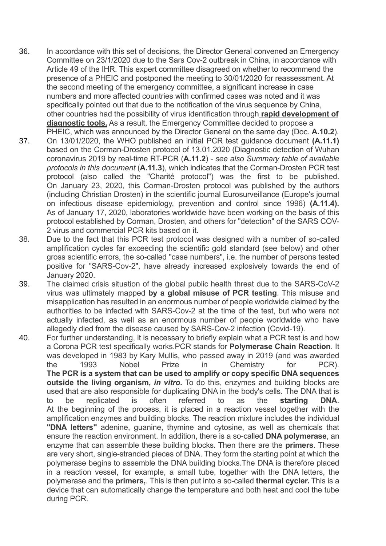- 36. In accordance with this set of decisions, the Director General convened an Emergency Committee on 23/1/2020 due to the Sars Cov-2 outbreak in China, in accordance with Article 49 of the IHR. This expert committee disagreed on whether to recommend the presence of a PHEIC and postponed the meeting to 30/01/2020 for reassessment. At the second meeting of the emergency committee, a significant increase in case numbers and more affected countries with confirmed cases was noted and it was specifically pointed out that due to the notification of the virus sequence by China, other countries had the possibility of virus identification through **rapid development of diagnostic tools.** As a result, the Emergency Committee decided to propose a PHEIC, which was announced by the Director General on the same day (Doc. **A.10.2**).
- 37. On 13/01/2020, the WHO published an initial PCR test guidance document **(A.11.1)**  based on the Corman-Drosten protocol of 13.01.2020 (Diagnostic detection of Wuhan coronavirus 2019 by real-time RT-PCR (**A.11.2**) - *see also Summary table of available protocols in this document* (**A.11.3**), which indicates that the Corman-Drosten PCR test protocol (also called the "Charité protocol") was the first to be published. On January 23, 2020, this Corman-Drosten protocol was published by the authors (including Christian Drosten) in the scientific journal Eurosurveillance (Europe's journal on infectious disease epidemiology, prevention and control since 1996) **(A.11.4).** As of January 17, 2020, laboratories worldwide have been working on the basis of this protocol established by Corman, Drosten, and others for "detection" of the SARS COV-2 virus and commercial PCR kits based on it.
- 38. Due to the fact that this PCR test protocol was designed with a number of so-called amplification cycles far exceeding the scientific gold standard (see below) and other gross scientific errors, the so-called "case numbers", i.e. the number of persons tested positive for "SARS-Cov-2", have already increased explosively towards the end of January 2020.
- 39. The claimed crisis situation of the global public health threat due to the SARS-CoV-2 virus was ultimately mapped **by a global misuse of PCR testing**. This misuse and misapplication has resulted in an enormous number of people worldwide claimed by the authorities to be infected with SARS-Cov-2 at the time of the test, but who were not actually infected, as well as an enormous number of people worldwide who have allegedly died from the disease caused by SARS-Cov-2 infection (Covid-19).
- 40. For further understanding, it is necessary to briefly explain what a PCR test is and how a Corona PCR test specifically works.PCR stands for **Polymerase Chain Reaction**. It was developed in 1983 by Kary Mullis, who passed away in 2019 (and was awarded the 1993 Nobel Prize in Chemistry for PCR). **The PCR is a system that can be used to amplify or copy specific DNA sequences outside the living organism,** *in vitro***.** To do this, enzymes and building blocks are used that are also responsible for duplicating DNA in the body's cells. The DNA that is to be replicated is often referred to as the **starting DNA**. At the beginning of the process, it is placed in a reaction vessel together with the amplification enzymes and building blocks. The reaction mixture includes the individual **"DNA letters"** adenine, guanine, thymine and cytosine, as well as chemicals that ensure the reaction environment. In addition, there is a so-called **DNA polymerase**, an enzyme that can assemble these building blocks. Then there are the **primers**. These are very short, single-stranded pieces of DNA. They form the starting point at which the polymerase begins to assemble the DNA building blocks.The DNA is therefore placed in a reaction vessel, for example, a small tube, together with the DNA letters, the polymerase and the **primers,**. This is then put into a so-called **thermal cycler.** This is a device that can automatically change the temperature and both heat and cool the tube during PCR.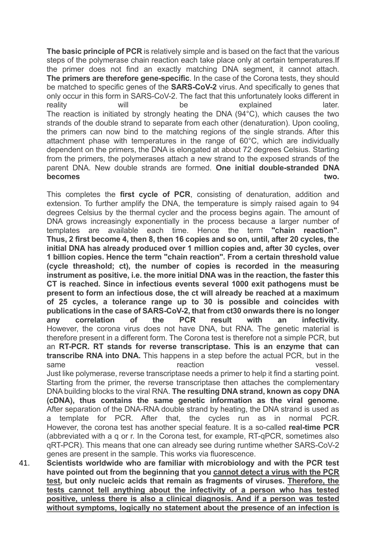**The basic principle of PCR** is relatively simple and is based on the fact that the various steps of the polymerase chain reaction each take place only at certain temperatures.If the primer does not find an exactly matching DNA segment, it cannot attach. **The primers are therefore gene-specific**. In the case of the Corona tests, they should be matched to specific genes of the **SARS-CoV-2** virus. And specifically to genes that only occur in this form in SARS-CoV-2. The fact that this unfortunately looks different in reality will will be explained atter. The reaction is initiated by strongly heating the DNA (94°C), which causes the two strands of the double strand to separate from each other (denaturation). Upon cooling, the primers can now bind to the matching regions of the single strands. After this attachment phase with temperatures in the range of 60°C, which are individually dependent on the primers, the DNA is elongated at about 72 degrees Celsius. Starting from the primers, the polymerases attach a new strand to the exposed strands of the parent DNA. New double strands are formed. **One initial double-stranded DNA becomes** two.

This completes the **first cycle of PCR**, consisting of denaturation, addition and extension. To further amplify the DNA, the temperature is simply raised again to 94 degrees Celsius by the thermal cycler and the process begins again. The amount of DNA grows increasingly exponentially in the process because a larger number of templates are available each time. Hence the term **"chain reaction"**. **Thus, 2 first become 4, then 8, then 16 copies and so on, until, after 20 cycles, the initial DNA has already produced over 1 million copies and, after 30 cycles, over 1 billion copies. Hence the term "chain reaction". From a certain threshold value (cycle threashold; ct), the number of copies is recorded in the measuring instrument as positive, i.e. the more initial DNA was in the reaction, the faster this CT is reached. Since in infectious events several 1000 exit pathogens must be present to form an infectious dose, the ct will already be reached at a maximum of 25 cycles, a tolerance range up to 30 is possible and coincides with publications in the case of SARS-CoV-2, that from ct30 onwards there is no longer any correlation of the PCR result with an infectivity.** However, the corona virus does not have DNA, but RNA. The genetic material is therefore present in a different form. The Corona test is therefore not a simple PCR, but an **RT-PCR. RT stands for reverse transcriptase. This is an enzyme that can transcribe RNA into DNA.** This happens in a step before the actual PCR, but in the same vessel. Just like polymerase, reverse transcriptase needs a primer to help it find a starting point. Starting from the primer, the reverse transcriptase then attaches the complementary DNA building blocks to the viral RNA. **The resulting DNA strand, known as copy DNA (cDNA), thus contains the same genetic information as the viral genome.** After separation of the DNA-RNA double strand by heating, the DNA strand is used as a template for PCR. After that, the cycles run as in normal PCR. However, the corona test has another special feature. It is a so-called **real-time PCR**  (abbreviated with a q or r. In the Corona test, for example, RT-qPCR, sometimes also qRT-PCR). This means that one can already see during runtime whether SARS-CoV-2 genes are present in the sample. This works via fluorescence.

41. **Scientists worldwide who are familiar with microbiology and with the PCR test have pointed out from the beginning that you cannot detect a virus with the PCR test, but only nucleic acids that remain as fragments of viruses. Therefore, the tests cannot tell anything about the infectivity of a person who has tested positive, unless there is also a clinical diagnosis. And if a person was tested without symptoms, logically no statement about the presence of an infection is**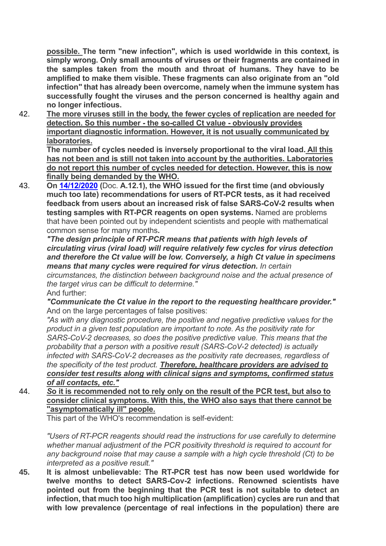**possible. The term "new infection", which is used worldwide in this context, is simply wrong. Only small amounts of viruses or their fragments are contained in the samples taken from the mouth and throat of humans. They have to be amplified to make them visible. These fragments can also originate from an "old infection" that has already been overcome, namely when the immune system has successfully fought the viruses and the person concerned is healthy again and no longer infectious.**

42. **The more viruses still in the body, the fewer cycles of replication are needed for detection. So this number - the so-called Ct value - obviously provides important diagnostic information. However, it is not usually communicated by laboratories.**

**The number of cycles needed is inversely proportional to the viral load. All this has not been and is still not taken into account by the authorities. Laboratories do not report this number of cycles needed for detection. However, this is now finally being demanded by the WHO.**

43. **On 14/12/2020 (**Doc. **A.12.1), the WHO issued for the first time (and obviously much too late) recommendations for users of RT-PCR tests, as it had received feedback from users about an increased risk of false SARS-CoV-2 results when testing samples with RT-PCR reagents on open systems.** Named are problems that have been pointed out by independent scientists and people with mathematical common sense for many months**.**

*"The design principle of RT-PCR means that patients with high levels of circulating virus (viral load) will require relatively few cycles for virus detection and therefore the Ct value will be low. Conversely, a high Ct value in specimens means that many cycles were required for virus detection. In certain circumstances, the distinction between background noise and the actual presence of the target virus can be difficult to determine."* And further:

*"Communicate the Ct value in the report to the requesting healthcare provider."* And on the large percentages of false positives:

*"As with any diagnostic procedure, the positive and negative predictive values for the product in a given test population are important to note. As the positivity rate for SARS-CoV-2 decreases, so does the positive predictive value. This means that the probability that a person with a positive result (SARS-CoV-2 detected) is actually infected with SARS-CoV-2 decreases as the positivity rate decreases, regardless of the specificity of the test product. Therefore, healthcare providers are advised to consider test results along with clinical signs and symptoms, confirmed status of all contacts, etc."*

44. *S***o it is recommended not to rely only on the result of the PCR test, but also to consider clinical symptoms. With this, the WHO also says that there cannot be "asymptomatically ill" people.** 

This part of the WHO's recommendation is self-evident:

*"Users of RT-PCR reagents should read the instructions for use carefully to determine whether manual adjustment of the PCR positivity threshold is required to account for any background noise that may cause a sample with a high cycle threshold (Ct) to be interpreted as a positive result."*

**45. It is almost unbelievable: The RT-PCR test has now been used worldwide for twelve months to detect SARS-Cov-2 infections. Renowned scientists have pointed out from the beginning that the PCR test is not suitable to detect an infection, that much too high multiplication (amplification) cycles are run and that with low prevalence (percentage of real infections in the population) there are**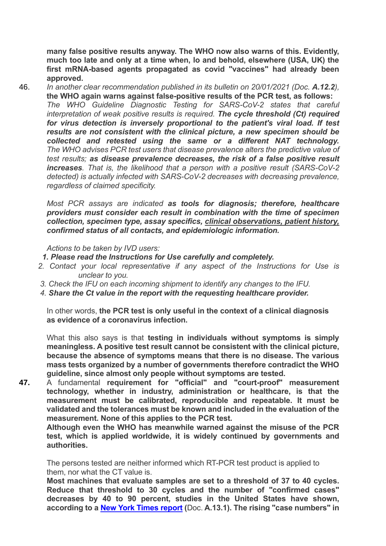**many false positive results anyway. The WHO now also warns of this. Evidently, much too late and only at a time when, lo and behold, elsewhere (USA, UK) the first mRNA-based agents propagated as covid "vaccines" had already been approved.**

46. *In another clear recommendation published in its bulletin on 20/01/2021 (Doc. A.12.2),*  **the WHO again warns against false-positive results of the PCR test, as follows:** *The WHO Guideline Diagnostic Testing for SARS-CoV-2 states that careful interpretation of weak positive results is required. The cycle threshold (Ct) required for virus detection is inversely proportional to the patient's viral load. If test results are not consistent with the clinical picture, a new specimen should be collected and retested using the same or a different NAT technology. The WHO advises PCR test users that disease prevalence alters the predictive value of test results; as disease prevalence decreases, the risk of a false positive result increases. That is, the likelihood that a person with a positive result (SARS-CoV-2 detected) is actually infected with SARS-CoV-2 decreases with decreasing prevalence, regardless of claimed specificity.*

*Most PCR assays are indicated as tools for diagnosis; therefore, healthcare providers must consider each result in combination with the time of specimen collection, specimen type, assay specifics, clinical observations, patient history, confirmed status of all contacts, and epidemiologic information.*

*Actions to be taken by IVD users:*

- *1. Please read the Instructions for Use carefully and completely.*
- *2. Contact your local representative if any aspect of the Instructions for Use is unclear to you.*
- *3. Check the IFU on each incoming shipment to identify any changes to the IFU.*
- *4. Share the Ct value in the report with the requesting healthcare provider.*

In other words, **the PCR test is only useful in the context of a clinical diagnosis as evidence of a coronavirus infection.** 

What this also says is that **testing in individuals without symptoms is simply meaningless. A positive test result cannot be consistent with the clinical picture, because the absence of symptoms means that there is no disease. The various mass tests organized by a number of governments therefore contradict the WHO guideline, since almost only people without symptoms are tested.**

**47.** A fundamental **requirement for "official" and "court-proof" measurement technology, whether in industry, administration or healthcare, is that the measurement must be calibrated, reproducible and repeatable. It must be validated and the tolerances must be known and included in the evaluation of the measurement. None of this applies to the PCR test.**

**Although even the WHO has meanwhile warned against the misuse of the PCR test, which is applied worldwide, it is widely continued by governments and authorities.**

The persons tested are neither informed which RT-PCR test product is applied to them, nor what the CT value is.

**Most machines that evaluate samples are set to a threshold of 37 to 40 cycles. Reduce that threshold to 30 cycles and the number of "confirmed cases" decreases by 40 to 90 percent, studies in the United States have shown, according to a New York Times report (**Doc. **A.13.1). The rising "case numbers" in**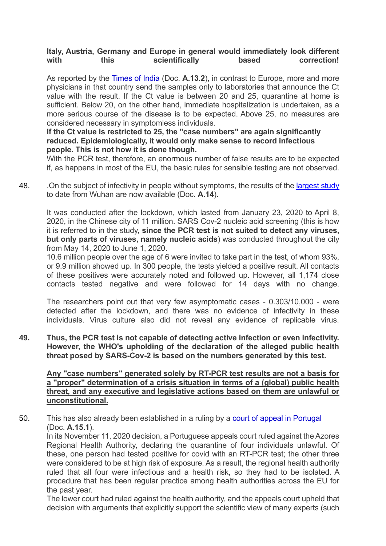## **Italy, Austria, Germany and Europe in general would immediately look different**  with this scientifically based correction!

As reported by the Times of India (Doc. **A.13.2**), in contrast to Europe, more and more physicians in that country send the samples only to laboratories that announce the Ct value with the result. If the Ct value is between 20 and 25, quarantine at home is sufficient. Below 20, on the other hand, immediate hospitalization is undertaken, as a more serious course of the disease is to be expected. Above 25, no measures are considered necessary in symptomless individuals.

### **If the Ct value is restricted to 25, the "case numbers" are again significantly reduced. Epidemiologically, it would only make sense to record infectious people. This is not how it is done though.**

With the PCR test, therefore, an enormous number of false results are to be expected if, as happens in most of the EU, the basic rules for sensible testing are not observed.

48. Chimediate of infectivity in people without symptoms, the results of the largest study to date from Wuhan are now available (Doc. **A.14**).

It was conducted after the lockdown, which lasted from January 23, 2020 to April 8, 2020, in the Chinese city of 11 million. SARS Cov-2 nucleic acid screening (this is how it is referred to in the study, **since the PCR test is not suited to detect any viruses, but only parts of viruses, namely nucleic acids**) was conducted throughout the city from May 14, 2020 to June 1, 2020.

10.6 million people over the age of 6 were invited to take part in the test, of whom 93%, or 9.9 million showed up. In 300 people, the tests yielded a positive result. All contacts of these positives were accurately noted and followed up. However, all 1,174 close contacts tested negative and were followed for 14 days with no change.

The researchers point out that very few asymptomatic cases - 0.303/10,000 - were detected after the lockdown, and there was no evidence of infectivity in these individuals. Virus culture also did not reveal any evidence of replicable virus.

**49. Thus, the PCR test is not capable of detecting active infection or even infectivity. However, the WHO's upholding of the declaration of the alleged public health threat posed by SARS-Cov-2 is based on the numbers generated by this test.**

**Any "case numbers" generated solely by RT-PCR test results are not a basis for a "proper" determination of a crisis situation in terms of a (global) public health threat, and any executive and legislative actions based on them are unlawful or unconstitutional.**

50. This has also already been established in a ruling by a court of appeal in Portugal (Doc. **A.15.1**).

In its November 11, 2020 decision, a Portuguese appeals court ruled against the Azores Regional Health Authority, declaring the quarantine of four individuals unlawful. Of these, one person had tested positive for covid with an RT-PCR test; the other three were considered to be at high risk of exposure. As a result, the regional health authority ruled that all four were infectious and a health risk, so they had to be isolated. A procedure that has been regular practice among health authorities across the EU for the past year.

The lower court had ruled against the health authority, and the appeals court upheld that decision with arguments that explicitly support the scientific view of many experts (such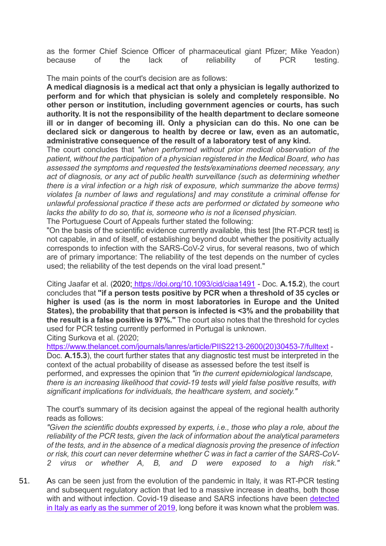as the former Chief Science Officer of pharmaceutical giant Pfizer; Mike Yeadon) because of the lack of reliability of PCR testing.

The main points of the court's decision are as follows:

**A medical diagnosis is a medical act that only a physician is legally authorized to perform and for which that physician is solely and completely responsible. No other person or institution, including government agencies or courts, has such authority. It is not the responsibility of the health department to declare someone ill or in danger of becoming ill. Only a physician can do this. No one can be declared sick or dangerous to health by decree or law, even as an automatic, administrative consequence of the result of a laboratory test of any kind.**

The court concludes that *"when performed without prior medical observation of the patient, without the participation of a physician registered in the Medical Board, who has assessed the symptoms and requested the tests/examinations deemed necessary, any act of diagnosis, or any act of public health surveillance (such as determining whether there is a viral infection or a high risk of exposure, which summarize the above terms) violates [a number of laws and regulations] and may constitute a criminal offense for unlawful professional practice if these acts are performed or dictated by someone who lacks the ability to do so, that is, someone who is not a licensed physician.*

The Portuguese Court of Appeals further stated the following:

"On the basis of the scientific evidence currently available, this test [the RT-PCR test] is not capable, in and of itself, of establishing beyond doubt whether the positivity actually corresponds to infection with the SARS-CoV-2 virus, for several reasons, two of which are of primary importance: The reliability of the test depends on the number of cycles used; the reliability of the test depends on the viral load present."

Citing Jaafar et al. (2020; https://doi.org/10.1093/cid/ciaa1491 - Doc. **A.15.2**), the court concludes that **"if a person tests positive by PCR when a threshold of 35 cycles or higher is used (as is the norm in most laboratories in Europe and the United States), the probability that that person is infected is <3% and the probability that the result is a false positive is 97%."** The court also notes that the threshold for cycles used for PCR testing currently performed in Portugal is unknown. Citing Surkova et al. (2020;

https://www.thelancet.com/journals/lanres/article/PIIS2213-2600(20)30453-7/fulltext -

Doc. **A.15.3**), the court further states that any diagnostic test must be interpreted in the context of the actual probability of disease as assessed before the test itself is performed, and expresses the opinion that *"in the current epidemiological landscape, there is an increasing likelihood that covid-19 tests will yield false positive results, with significant implications for individuals, the healthcare system, and society."*

The court's summary of its decision against the appeal of the regional health authority reads as follows:

*"Given the scientific doubts expressed by experts, i.e., those who play a role, about the reliability of the PCR tests, given the lack of information about the analytical parameters of the tests, and in the absence of a medical diagnosis proving the presence of infection or risk, this court can never determine whether C was in fact a carrier of the SARS-CoV-2 virus or whether A, B, and D were exposed to a high risk."*

51. As can be seen just from the evolution of the pandemic in Italy, it was RT-PCR testing and subsequent regulatory action that led to a massive increase in deaths, both those with and without infection. Covid-19 disease and SARS infections have been detected in Italy as early as the summer of 2019, long before it was known what the problem was.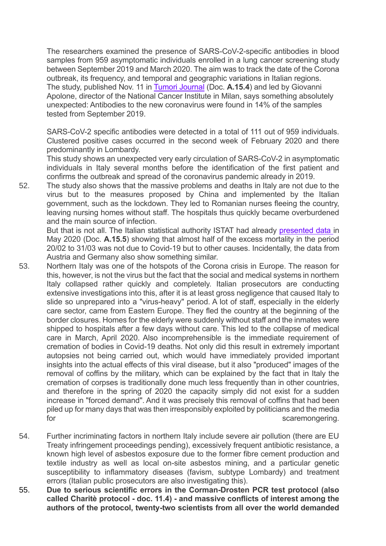The researchers examined the presence of SARS-CoV-2-specific antibodies in blood samples from 959 asymptomatic individuals enrolled in a lung cancer screening study between September 2019 and March 2020. The aim was to track the date of the Corona outbreak, its frequency, and temporal and geographic variations in Italian regions. The study, published Nov. 11 in Tumori Journal (Doc. **A.15.4**) and led by Giovanni Apolone, director of the National Cancer Institute in Milan, says something absolutely unexpected: Antibodies to the new coronavirus were found in 14% of the samples tested from September 2019.

SARS-CoV-2 specific antibodies were detected in a total of 111 out of 959 individuals. Clustered positive cases occurred in the second week of February 2020 and there predominantly in Lombardy.

This study shows an unexpected very early circulation of SARS-CoV-2 in asymptomatic individuals in Italy several months before the identification of the first patient and confirms the outbreak and spread of the coronavirus pandemic already in 2019.

52. The study also shows that the massive problems and deaths in Italy are not due to the virus but to the measures proposed by China and implemented by the Italian government, such as the lockdown. They led to Romanian nurses fleeing the country, leaving nursing homes without staff. The hospitals thus quickly became overburdened and the main source of infection.

But that is not all. The Italian statistical authority ISTAT had already presented data in May 2020 (Doc. **A.15.5**) showing that almost half of the excess mortality in the period 20/02 to 31/03 was not due to Covid-19 but to other causes. Incidentally, the data from Austria and Germany also show something similar.

- 53. Northern Italy was one of the hotspots of the Corona crisis in Europe. The reason for this, however, is not the virus but the fact that the social and medical systems in northern Italy collapsed rather quickly and completely. Italian prosecutors are conducting extensive investigations into this, after it is at least gross negligence that caused Italy to slide so unprepared into a "virus-heavy" period. A lot of staff, especially in the elderly care sector, came from Eastern Europe. They fled the country at the beginning of the border closures. Homes for the elderly were suddenly without staff and the inmates were shipped to hospitals after a few days without care. This led to the collapse of medical care in March, April 2020. Also incomprehensible is the immediate requirement of cremation of bodies in Covid-19 deaths. Not only did this result in extremely important autopsies not being carried out, which would have immediately provided important insights into the actual effects of this viral disease, but it also "produced" images of the removal of coffins by the military, which can be explained by the fact that in Italy the cremation of corpses is traditionally done much less frequently than in other countries, and therefore in the spring of 2020 the capacity simply did not exist for a sudden increase in "forced demand". And it was precisely this removal of coffins that had been piled up for many days that was then irresponsibly exploited by politicians and the media for scaremongering.
- 54. Further incriminating factors in northern Italy include severe air pollution (there are EU Treaty infringement proceedings pending), excessively frequent antibiotic resistance, a known high level of asbestos exposure due to the former fibre cement production and textile industry as well as local on-site asbestos mining, and a particular genetic susceptibility to inflammatory diseases (favism, subtype Lombardy) and treatment errors (Italian public prosecutors are also investigating this).
- 55. **Due to serious scientific errors in the Corman-Drosten PCR test protocol (also called Charitè protocol - doc. 11.4) - and massive conflicts of interest among the authors of the protocol, twenty-two scientists from all over the world demanded**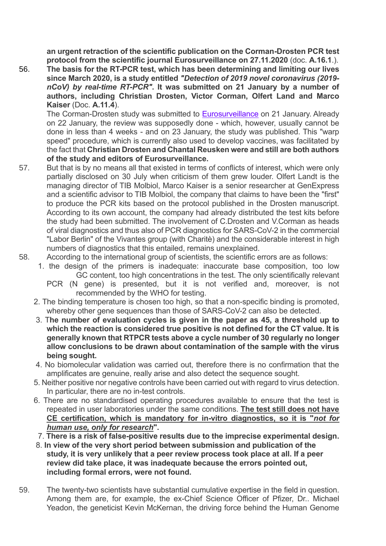**an urgent retraction of the scientific publication on the Corman-Drosten PCR test protocol from the scientific journal Eurosurveillance on 27.11.2020** (doc. **A.16.1**.).

56. **The basis for the RT-PCR test, which has been determining and limiting our lives since March 2020, is a study entitled** *"Detection of 2019 novel coronavirus (2019 nCoV) by real-time RT-PCR"***. It was submitted on 21 January by a number of authors, including Christian Drosten, Victor Corman, Olfert Land and Marco Kaiser** (Doc. **A.11.4**).

The Corman-Drosten study was submitted to Eurosurveillance on 21 January. Already on 22 January, the review was supposedly done - which, however, usually cannot be done in less than 4 weeks - and on 23 January, the study was published. This "warp speed" procedure, which is currently also used to develop vaccines, was facilitated by the fact that **Christian Drosten and Chantal Reusken were and still are both authors of the study and editors of Eurosurveillance.**

- 57. But that is by no means all that existed in terms of conflicts of interest, which were only partially disclosed on 30 July when criticism of them grew louder. Olfert Landt is the managing director of TIB Molbiol, Marco Kaiser is a senior researcher at GenExpress and a scientific advisor to TIB Molbiol, the company that claims to have been the "first" to produce the PCR kits based on the protocol published in the Drosten manuscript. According to its own account, the company had already distributed the test kits before the study had been submitted. The involvement of C.Drosten and V.Corman as heads of viral diagnostics and thus also of PCR diagnostics for SARS-CoV-2 in the commercial "Labor Berlin" of the Vivantes group (with Charitè) and the considerable interest in high numbers of diagnostics that this entailed, remains unexplained.
- 58. According to the international group of scientists, the scientific errors are as follows:
	- 1. the design of the primers is inadequate: inaccurate base composition, too low GC content, too high concentrations in the test. The only scientifically relevant
		- PCR (N gene) is presented, but it is not verified and, moreover, is not recommended by the WHO for testing.
	- 2. The binding temperature is chosen too high, so that a non-specific binding is promoted, whereby other gene sequences than those of SARS-CoV-2 can also be detected.
	- 3. T**he number of evaluation cycles is given in the paper as 45, a threshold up to which the reaction is considered true positive is not defined for the CT value. It is generally known that RTPCR tests above a cycle number of 30 regularly no longer allow conclusions to be drawn about contamination of the sample with the virus being sought.**
	- 4. No biomolecular validation was carried out, therefore there is no confirmation that the amplificates are genuine, really arise and also detect the sequence sought.
	- 5. Neither positive nor negative controls have been carried out with regard to virus detection. In particular, there are no in-test controls.
	- 6. There are no standardised operating procedures available to ensure that the test is repeated in user laboratories under the same conditions. **The test still does not have CE certification, which is mandatory for in-vitro diagnostics, so it is "***not for human use, only for research***".**
	- 7. **There is a risk of false-positive results due to the imprecise experimental design.**
	- 8. **In view of the very short period between submission and publication of the study, it is very unlikely that a peer review process took place at all. If a peer review did take place, it was inadequate because the errors pointed out, including formal errors, were not found.**
- 59. The twenty-two scientists have substantial cumulative expertise in the field in question. Among them are, for example, the ex-Chief Science Officer of Pfizer, Dr.. Michael Yeadon, the geneticist Kevin McKernan, the driving force behind the Human Genome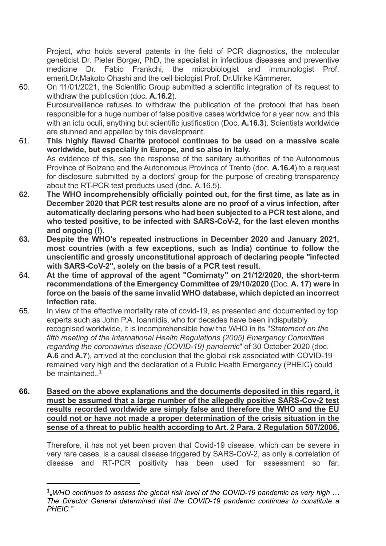Project, who holds several patents in the field of PCR diagnostics, the molecular geneticist Dr. Pieter Borger, PhD, the specialist in infectious diseases and preventive medicine Dr. Fabio Frankchi, the microbiologist and immunologist Prof. emerit.Dr.Makoto Ohashi and the cell biologist Prof. Dr.Ulrike Kämmerer.

- 60. On 11/01/2021, the Scientific Group submitted a scientific integration of its request to withdraw the publication (doc. **A.16.2**). Eurosurveillance refuses to withdraw the publication of the protocol that has been responsible for a huge number of false positive cases worldwide for a year now, and this with an ictu oculi, anything but scientific justification (Doc. **A.16.3**). Scientists worldwide are stunned and appalled by this development.
- 61. **This highly flawed Charitè protocol continues to be used on a massive scale worldwide, but especially in Europe, and so also in Italy.** As evidence of this, see the response of the sanitary authorities of the Autonomous Province of Bolzano and the Autonomous Province of Trento (doc. **A.16.4**) to a request for disclosure submitted by a doctors' group for the purpose of creating transparency about the RT-PCR test products used (doc. A.16.5).
- **62. The WHO incomprehensibly officially pointed out, for the first time, as late as in December 2020 that PCR test results alone are no proof of a virus infection, after automatically declaring persons who had been subjected to a PCR test alone, and who tested positive, to be infected with SARS-CoV-2, for the last eleven months and ongoing (!).**
- **63. Despite the WHO's repeated instructions in December 2020 and January 2021, most countries (with a few exceptions, such as India) continue to follow the unscientific and grossly unconstitutional approach of declaring people "infected with SARS-CoV-2", solely on the basis of a PCR test result.**
- 64. **At the time of approval of the agent "Comirnaty" on 21/12/2020, the short-term recommendations of the Emergency Committee of 29/10/2020 (**Doc. **A. 17) were in force on the basis of the same invalid WHO database, which depicted an incorrect infection rate.**
- 65. In view of the effective mortality rate of covid-19, as presented and documented by top experts such as John P.A. Ioannidis, who for decades have been indisputably recognised worldwide, it is incomprehensible how the WHO in its "*Statement on the fifth meeting of the International Health Regulations (2005) Emergency Committee regarding the coronavirus disease (COVID-19) pandemic*" of 30 October 2020 (doc. **A.6** and **A.7**), arrived at the conclusion that the global risk associated with COVID-19 remained very high and the declaration of a Public Health Emergency (PHEIC) could be maintained  $1$
- **66. Based on the above explanations and the documents deposited in this regard, it must be assumed that a large number of the allegedly positive SARS-Cov-2 test results recorded worldwide are simply false and therefore the WHO and the EU could not or have not made a proper determination of the crisis situation in the sense of a threat to public health according to Art. 2 Para. 2 Regulation 507/2006.**

Therefore, it has not yet been proven that Covid-19 disease, which can be severe in very rare cases, is a causal disease triggered by SARS-CoV-2, as only a correlation of disease and RT-PCR positivity has been used for assessment so far.

<sup>&</sup>lt;sup>1</sup><sub>"</sub>WHO continues to assess the global risk level of the COVID-19 pandemic as very high ... *The Director General determined that the COVID-19 pandemic continues to constitute a PHEIC."*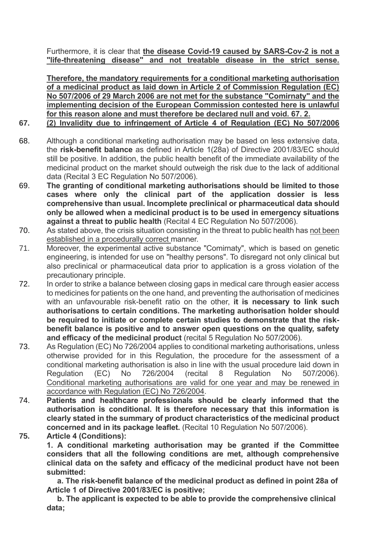Furthermore, it is clear that **the disease Covid-19 caused by SARS-Cov-2 is not a "life-threatening disease" and not treatable disease in the strict sense.**

**Therefore, the mandatory requirements for a conditional marketing authorisation of a medicinal product as laid down in Article 2 of Commission Regulation (EC) No 507/2006 of 29 March 2006 are not met for the substance "Comirnaty" and the implementing decision of the European Commission contested here is unlawful for this reason alone and must therefore be declared null and void. 67. 2.**

## **67. (2) Invalidity due to infringement of Article 4 of Regulation (EC) No 507/2006**

- 68. Although a conditional marketing authorisation may be based on less extensive data, the **risk-benefit balance** as defined in Article 1(28a) of Directive 2001/83/EC should still be positive. In addition, the public health benefit of the immediate availability of the medicinal product on the market should outweigh the risk due to the lack of additional data (Recital 3 EC Regulation No 507/2006).
- 69. **The granting of conditional marketing authorisations should be limited to those cases where only the clinical part of the application dossier is less comprehensive than usual. Incomplete preclinical or pharmaceutical data should only be allowed when a medicinal product is to be used in emergency situations against a threat to public health** (Recital 4 EC Regulation No 507/2006).
- 70. As stated above, the crisis situation consisting in the threat to public health has not been established in a procedurally correct manner.
- 71. Moreover, the experimental active substance "Comirnaty", which is based on genetic engineering, is intended for use on "healthy persons". To disregard not only clinical but also preclinical or pharmaceutical data prior to application is a gross violation of the precautionary principle.
- 72. In order to strike a balance between closing gaps in medical care through easier access to medicines for patients on the one hand, and preventing the authorisation of medicines with an unfavourable risk-benefit ratio on the other, **it is necessary to link such authorisations to certain conditions. The marketing authorisation holder should be required to initiate or complete certain studies to demonstrate that the riskbenefit balance is positive and to answer open questions on the quality, safety and efficacy of the medicinal product** (recital 5 Regulation No 507/2006).
- 73. As Regulation (EC) No 726/2004 applies to conditional marketing authorisations, unless otherwise provided for in this Regulation, the procedure for the assessment of a conditional marketing authorisation is also in line with the usual procedure laid down in Regulation (EC) No 726/2004 (recital 8 Regulation No 507/2006). Conditional marketing authorisations are valid for one year and may be renewed in accordance with Regulation (EC) No 726/2004.
- 74. **Patients and healthcare professionals should be clearly informed that the authorisation is conditional. It is therefore necessary that this information is clearly stated in the summary of product characteristics of the medicinal product concerned and in its package leaflet.** (Recital 10 Regulation No 507/2006).
- **75. Article 4 (Conditions):**

**1. A conditional marketing authorisation may be granted if the Committee considers that all the following conditions are met, although comprehensive clinical data on the safety and efficacy of the medicinal product have not been submitted:**

 **a. The risk-benefit balance of the medicinal product as defined in point 28a of Article 1 of Directive 2001/83/EC is positive;**

 **b. The applicant is expected to be able to provide the comprehensive clinical data;**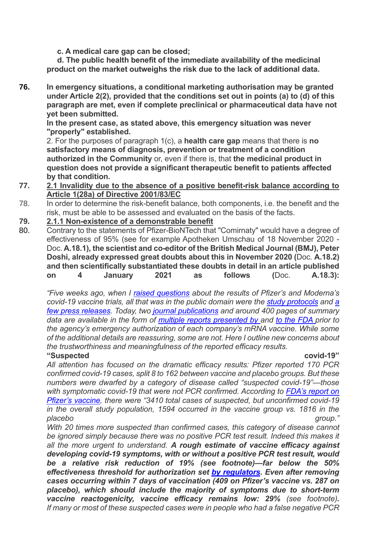**c. A medical care gap can be closed;**

 **d. The public health benefit of the immediate availability of the medicinal product on the market outweighs the risk due to the lack of additional data.**

**76. In emergency situations, a conditional marketing authorisation may be granted under Article 2(2), provided that the conditions set out in points (a) to (d) of this paragraph are met, even if complete preclinical or pharmaceutical data have not yet been submitted.**

**In the present case, as stated above, this emergency situation was never "properly" established.**

2. For the purposes of paragraph 1(c), a **health care gap** means that there is **no satisfactory means of diagnosis, prevention or treatment of a condition authorized in the Community** or, even if there is, that **the medicinal product in question does not provide a significant therapeutic benefit to patients affected by that condition.**

#### **77. 2.1 Invalidity due to the absence of a positive benefit-risk balance according to Article 1(28a) of Directive 2001/83/EC**

- 78. In order to determine the risk-benefit balance, both components, i.e. the benefit and the risk, must be able to be assessed and evaluated on the basis of the facts.
- **79. 2.1.1 Non-existence of a demonstrable benefit**
- 80. Contrary to the statements of Pfizer-BioNTech that "Comirnaty" would have a degree of effectiveness of 95% (see for example Apotheken Umschau of 18 November 2020 - Doc. **A.18.1), the scientist and co-editor of the British Medical Journal (BMJ), Peter Doshi, already expressed great doubts about this in November 2020 (**Doc. **A.18.2) and then scientifically substantiated these doubts in detail in an article published on 4 January 2021 as follows (**Doc. **A.18.3):**

*"Five weeks ago, when I raised questions about the results of Pfizer's and Moderna's covid-19 vaccine trials, all that was in the public domain were the study protocols and a few press releases. Today, two journal publications and around 400 pages of summary data are available in the form of multiple reports presented by and to the FDA prior to the agency's emergency authorization of each company's mRNA vaccine. While some of the additional details are reassuring, some are not. Here I outline new concerns about the trustworthiness and meaningfulness of the reported efficacy results.*

**"Suspected covid-19"**

*All attention has focused on the dramatic efficacy results: Pfizer reported 170 PCR confirmed covid-19 cases, split 8 to 162 between vaccine and placebo groups. But these numbers were dwarfed by a category of disease called "suspected covid-19"—those with symptomatic covid-19 that were not PCR confirmed. According to FDA's report on Pfizer's vaccine, there were "3410 total cases of suspected, but unconfirmed covid-19 in the overall study population, 1594 occurred in the vaccine group vs. 1816 in the placebo group."*

*With 20 times more suspected than confirmed cases, this category of disease cannot be ignored simply because there was no positive PCR test result. Indeed this makes it all the more urgent to understand. A rough estimate of vaccine efficacy against developing covid-19 symptoms, with or without a positive PCR test result, would be a relative risk reduction of 19% (see footnote)—far below the 50% effectiveness threshold for authorization set by regulators. Even after removing cases occurring within 7 days of vaccination (409 on Pfizer's vaccine vs. 287 on placebo), which should include the majority of symptoms due to short-term vaccine reactogenicity, vaccine efficacy remains low: 29% (see footnote). If many or most of these suspected cases were in people who had a false negative PCR*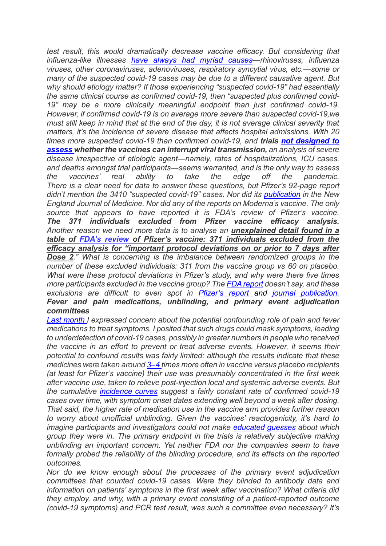*test result, this would dramatically decrease vaccine efficacy. But considering that influenza-like illnesses have always had myriad causes—rhinoviruses, influenza viruses, other coronaviruses, adenoviruses, respiratory syncytial virus, etc.—some or many of the suspected covid-19 cases may be due to a different causative agent. But why should etiology matter? If those experiencing "suspected covid-19" had essentially the same clinical course as confirmed covid-19, then "suspected plus confirmed covid-19" may be a more clinically meaningful endpoint than just confirmed covid-19. However, if confirmed covid-19 is on average more severe than suspected covid-19,we must still keep in mind that at the end of the day, it is not average clinical severity that matters, it's the incidence of severe disease that affects hospital admissions. With 20 times more suspected covid-19 than confirmed covid-19, and trials not designed to assess whether the vaccines can interrupt viral transmission, an analysis of severe disease irrespective of etiologic agent—namely, rates of hospitalizations, ICU cases, and deaths amongst trial participants—seems warranted, and is the only way to assess the vaccines' real ability to take the edge off the pandemic. There is a clear need for data to answer these questions, but Pfizer's 92-page report didn't mention the 3410 "suspected covid-19" cases. Nor did its publication in the New England Journal of Medicine. Nor did any of the reports on Moderna's vaccine. The only source that appears to have reported it is FDA's review of Pfizer's vaccine. The 371 individuals excluded from Pfizer vaccine efficacy analysis. Another reason we need more data is to analyse an unexplained detail found in a table of FDA's review of Pfizer's vaccine: 371 individuals excluded from the efficacy analysis for "important protocol deviations on or prior to 7 days after Dose 2." What is concerning is the imbalance between randomized groups in the number of these excluded individuals: 311 from the vaccine group vs 60 on placebo. What were these protocol deviations in Pfizer's study, and why were there five times more participants excluded in the vaccine group? The FDA report doesn't say, and these exclusions are difficult to even spot in Pfizer's report and journal publication. Fever and pain medications, unblinding, and primary event adjudication committees*

*Last month I expressed concern about the potential confounding role of pain and fever medications to treat symptoms. I posited that such drugs could mask symptoms, leading to underdetection of covid-19 cases, possibly in greater numbers in people who received the vaccine in an effort to prevent or treat adverse events. However, it seems their potential to confound results was fairly limited: although the results indicate that these medicines were taken around 3–4 times more often in vaccine versus placebo recipients (at least for Pfizer's vaccine) their use was presumably concentrated in the first week after vaccine use, taken to relieve post-injection local and systemic adverse events. But the cumulative incidence curves suggest a fairly constant rate of confirmed covid-19 cases over time, with symptom onset dates extending well beyond a week after dosing. That said, the higher rate of medication use in the vaccine arm provides further reason to worry about unofficial unblinding. Given the vaccines' reactogenicity, it's hard to imagine participants and investigators could not make educated guesses about which group they were in. The primary endpoint in the trials is relatively subjective making unblinding an important concern. Yet neither FDA nor the companies seem to have formally probed the reliability of the blinding procedure, and its effects on the reported outcomes.* 

*Nor do we know enough about the processes of the primary event adjudication committees that counted covid-19 cases. Were they blinded to antibody data and information on patients' symptoms in the first week after vaccination? What criteria did they employ, and why, with a primary event consisting of a patient-reported outcome (covid-19 symptoms) and PCR test result, was such a committee even necessary? It's*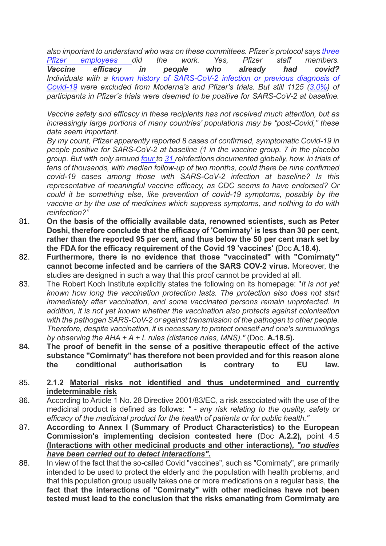*also important to understand who was on these committees. Pfizer's protocol says three Pfizer employees did the work. Yes, Pfizer staff members. Vaccine efficacy in people who already had covid? Individuals with a known history of SARS-CoV-2 infection or previous diagnosis of Covid-19 were excluded from Moderna's and Pfizer's trials. But still 1125 (3.0%) of participants in Pfizer's trials were deemed to be positive for SARS-CoV-2 at baseline.*

*Vaccine safety and efficacy in these recipients has not received much attention, but as increasingly large portions of many countries' populations may be "post-Covid," these data seem important.*

*By my count, Pfizer apparently reported 8 cases of confirmed, symptomatic Covid-19 in people positive for SARS-CoV-2 at baseline (1 in the vaccine group, 7 in the placebo group. But with only around four to 31 reinfections documented globally, how, in trials of tens of thousands, with median follow-up of two months, could there be nine confirmed covid-19 cases among those with SARS-CoV-2 infection at baseline? Is this representative of meaningful vaccine efficacy, as CDC seems to have endorsed? Or could it be something else, like prevention of covid-19 symptoms, possibly by the vaccine or by the use of medicines which suppress symptoms, and nothing to do with reinfection?"*

- 81. **On the basis of the officially available data, renowned scientists, such as Peter Doshi, therefore conclude that the efficacy of 'Comirnaty' is less than 30 per cent, rather than the reported 95 per cent, and thus below the 50 per cent mark set by the FDA for the efficacy requirement of the Covid 19 'vaccines' (**Doc **A.18.4).**
- 82. **Furthermore, there is no evidence that those "vaccinated" with "Comirnaty" cannot become infected and be carriers of the SARS COV-2 virus.** Moreover, the studies are designed in such a way that this proof cannot be provided at all.
- 83. The Robert Koch Institute explicitly states the following on its homepage: "*It is not yet known how long the vaccination protection lasts. The protection also does not start immediately after vaccination, and some vaccinated persons remain unprotected. In addition, it is not yet known whether the vaccination also protects against colonisation with the pathogen SARS-CoV-2 or against transmission of the pathogen to other people. Therefore, despite vaccination, it is necessary to protect oneself and one's surroundings by observing the AHA + A + L rules (distance rules, MNS)."* (Doc. **A.18.5).**
- **84. The proof of benefit in the sense of a positive therapeutic effect of the active substance "Comirnaty" has therefore not been provided and for this reason alone the conditional authorisation is contrary to EU law.**
- 85. **2.1.2 Material risks not identified and thus undetermined and currently indeterminable risk**
- 86. According to Article 1 No. 28 Directive 2001/83/EC, a risk associated with the use of the medicinal product is defined as follows: *" - any risk relating to the quality, safety or efficacy of the medicinal product for the health of patients or for public health."*
- 87. **According to Annex I (Summary of Product Characteristics) to the European Commission's implementing decision contested here (**Doc **A.2.2),** point 4.5 **(Interactions with other medicinal products and other interactions),** *"no studies have been carried out to detect interactions".*
- 88. In view of the fact that the so-called Covid "vaccines", such as "Comirnaty", are primarily intended to be used to protect the elderly and the population with health problems, and that this population group usually takes one or more medications on a regular basis, **the fact that the interactions of "Comirnaty" with other medicines have not been tested must lead to the conclusion that the risks emanating from Cormirnaty are**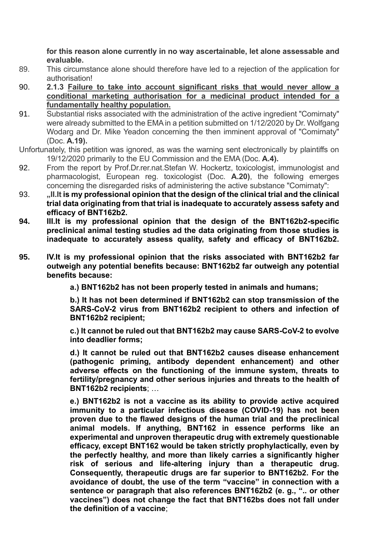**for this reason alone currently in no way ascertainable, let alone assessable and evaluable.**

- 89. This circumstance alone should therefore have led to a rejection of the application for authorisation!
- 90. **2.1.3 Failure to take into account significant risks that would never allow a conditional marketing authorisation for a medicinal product intended for a fundamentally healthy population.**
- 91. Substantial risks associated with the administration of the active ingredient "Comirnaty" were already submitted to the EMA in a petition submitted on 1/12/2020 by Dr. Wolfgang Wodarg and Dr. Mike Yeadon concerning the then imminent approval of "Comirnaty" (Doc. **A.19).**
- Unfortunately, this petition was ignored, as was the warning sent electronically by plaintiffs on 19/12/2020 primarily to the EU Commission and the EMA (Doc. **A.4).**
- 92. From the report by Prof.Dr.rer.nat.Stefan W. Hockertz, toxicologist, immunologist and pharmacologist, European reg. toxicologist (Doc. **A.20)**, the following emerges concerning the disregarded risks of administering the active substance "Comirnaty":
- 93. **"II.It is my professional opinion that the design of the clinical trial and the clinical trial data originating from that trial is inadequate to accurately assess safety and efficacy of BNT162b2.**
- **94. III.It is my professional opinion that the design of the BNT162b2-specific preclinical animal testing studies ad the data originating from those studies is inadequate to accurately assess quality, safety and efficacy of BNT162b2.**
- **95. IV.It is my professional opinion that the risks associated with BNT162b2 far outweigh any potential benefits because: BNT162b2 far outweigh any potential benefits because:**

**a.) BNT162b2 has not been properly tested in animals and humans;**

**b.) It has not been determined if BNT162b2 can stop transmission of the SARS-CoV-2 virus from BNT162b2 recipient to others and infection of BNT162b2 recipient;**

**c.) It cannot be ruled out that BNT162b2 may cause SARS-CoV-2 to evolve into deadlier forms;**

**d.) It cannot be ruled out that BNT162b2 causes disease enhancement (pathogenic priming, antibody dependent enhancement) and other adverse effects on the functioning of the immune system, threats to fertility/pregnancy and other serious injuries and threats to the health of BNT162b2 recipients**; …

**e.) BNT162b2 is not a vaccine as its ability to provide active acquired immunity to a particular infectious disease (COVID-19) has not been proven due to the flawed designs of the human trial and the preclinical animal models. If anything, BNT162 in essence performs like an experimental and unproven therapeutic drug with extremely questionable efficacy, except BNT162 would be taken strictly prophylactically, even by the perfectly healthy, and more than likely carries a significantly higher risk of serious and life-altering injury than a therapeutic drug. Consequently, therapeutic drugs are far superior to BNT162b2. For the avoidance of doubt, the use of the term "vaccine" in connection with a sentence or paragraph that also references BNT162b2 (e. g., ".. or other vaccines") does not change the fact that BNT162bs does not fall under the definition of a vaccine**;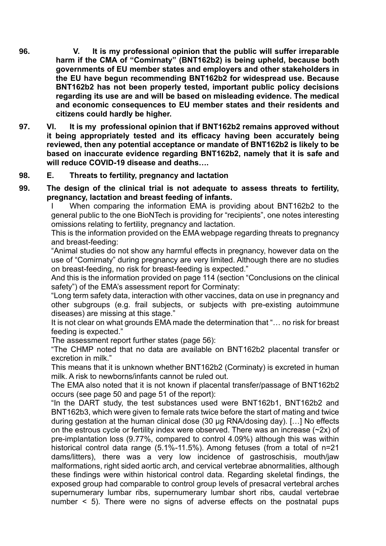- **96. V. It is my professional opinion that the public will suffer irreparable harm if the CMA of "Comirnaty" (BNT162b2) is being upheld, because both governments of EU member states and employers and other stakeholders in the EU have begun recommending BNT162b2 for widespread use. Because BNT162b2 has not been properly tested, important public policy decisions regarding its use are and will be based on misleading evidence. The medical and economic consequences to EU member states and their residents and citizens could hardly be higher.**
- **97. VI. It is my professional opinion that if BNT162b2 remains approved without it being appropriately tested and its efficacy having been accurately being reviewed, then any potential acceptance or mandate of BNT162b2 is likely to be based on inaccurate evidence regarding BNT162b2, namely that it is safe and will reduce COVID-19 disease and deaths….**

#### **98. E. Threats to fertility, pregnancy and lactation**

**99. The design of the clinical trial is not adequate to assess threats to fertility, pregnancy, lactation and breast feeding of infants.**

> I When comparing the information EMA is providing about BNT162b2 to the general public to the one BioNTech is providing for "recipients", one notes interesting omissions relating to fertility, pregnancy and lactation.

> This is the information provided on the EMA webpage regarding threats to pregnancy and breast-feeding:

> "Animal studies do not show any harmful effects in pregnancy, however data on the use of "Comirnaty" during pregnancy are very limited. Although there are no studies on breast-feeding, no risk for breast-feeding is expected."

> And this is the information provided on page 114 (section "Conclusions on the clinical safety") of the EMA's assessment report for Corminaty:

> "Long term safety data, interaction with other vaccines, data on use in pregnancy and other subgroups (e.g. frail subjects, or subjects with pre-existing autoimmune diseases) are missing at this stage."

> It is not clear on what grounds EMA made the determination that "… no risk for breast feeding is expected."

The assessment report further states (page 56):

"The CHMP noted that no data are available on BNT162b2 placental transfer or excretion in milk."

This means that it is unknown whether BNT162b2 (Corminaty) is excreted in human milk. A risk to newborns/infants cannot be ruled out.

The EMA also noted that it is not known if placental transfer/passage of BNT162b2 occurs (see page 50 and page 51 of the report):

"In the DART study, the test substances used were BNT162b1, BNT162b2 and BNT162b3, which were given to female rats twice before the start of mating and twice during gestation at the human clinical dose (30 μg RNA/dosing day). […] No effects on the estrous cycle or fertility index were observed. There was an increase (~2x) of pre-implantation loss (9.77%, compared to control 4.09%) although this was within historical control data range (5.1%-11.5%). Among fetuses (from a total of n=21 dams/litters), there was a very low incidence of gastroschisis, mouth/jaw malformations, right sided aortic arch, and cervical vertebrae abnormalities, although these findings were within historical control data. Regarding skeletal findings, the exposed group had comparable to control group levels of presacral vertebral arches supernumerary lumbar ribs, supernumerary lumbar short ribs, caudal vertebrae number < 5). There were no signs of adverse effects on the postnatal pups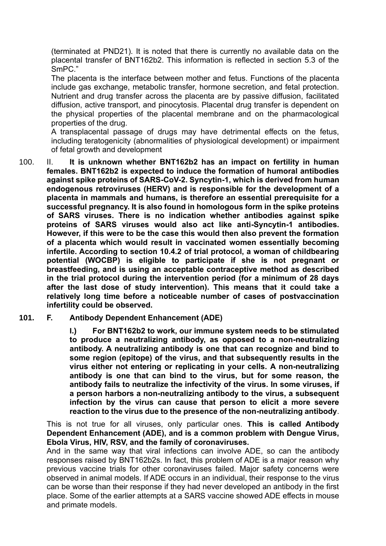(terminated at PND21). It is noted that there is currently no available data on the placental transfer of BNT162b2. This information is reflected in section 5.3 of the SmPC."

The placenta is the interface between mother and fetus. Functions of the placenta include gas exchange, metabolic transfer, hormone secretion, and fetal protection. Nutrient and drug transfer across the placenta are by passive diffusion, facilitated diffusion, active transport, and pinocytosis. Placental drug transfer is dependent on the physical properties of the placental membrane and on the pharmacological properties of the drug.

A transplacental passage of drugs may have detrimental effects on the fetus, including teratogenicity (abnormalities of physiological development) or impairment of fetal growth and development

100. II. **It is unknown whether BNT162b2 has an impact on fertility in human females. BNT162b2 is expected to induce the formation of humoral antibodies against spike proteins of SARS-CoV-2. Syncytin-1, which is derived from human endogenous retroviruses (HERV) and is responsible for the development of a placenta in mammals and humans, is therefore an essential prerequisite for a successful pregnancy. It is also found in homologous form in the spike proteins of SARS viruses. There is no indication whether antibodies against spike proteins of SARS viruses would also act like anti-Syncytin-1 antibodies. However, if this were to be the case this would then also prevent the formation of a placenta which would result in vaccinated women essentially becoming infertile. According to section 10.4.2 of trial protocol, a woman of childbearing potential (WOCBP) is eligible to participate if she is not pregnant or breastfeeding, and is using an acceptable contraceptive method as described in the trial protocol during the intervention period (for a minimum of 28 days after the last dose of study intervention). This means that it could take a relatively long time before a noticeable number of cases of postvaccination infertility could be observed.**

#### **101. F. Antibody Dependent Enhancement (ADE)**

**I.) For BNT162b2 to work, our immune system needs to be stimulated to produce a neutralizing antibody, as opposed to a non-neutralizing antibody. A neutralizing antibody is one that can recognize and bind to some region (epitope) of the virus, and that subsequently results in the virus either not entering or replicating in your cells. A non-neutralizing antibody is one that can bind to the virus, but for some reason, the antibody fails to neutralize the infectivity of the virus. In some viruses, if a person harbors a non-neutralizing antibody to the virus, a subsequent infection by the virus can cause that person to elicit a more severe reaction to the virus due to the presence of the non-neutralizing antibody**.

This is not true for all viruses, only particular ones. **This is called Antibody Dependent Enhancement (ADE), and is a common problem with Dengue Virus, Ebola Virus, HIV, RSV, and the family of coronaviruses.**

And in the same way that viral infections can involve ADE, so can the antibody responses raised by BNT162b2s. In fact, this problem of ADE is a major reason why previous vaccine trials for other coronaviruses failed. Major safety concerns were observed in animal models. If ADE occurs in an individual, their response to the virus can be worse than their response if they had never developed an antibody in the first place. Some of the earlier attempts at a SARS vaccine showed ADE effects in mouse and primate models.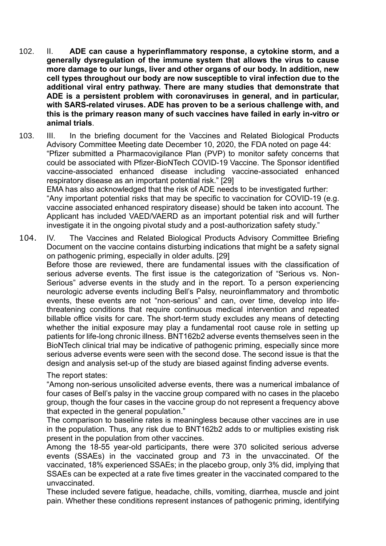102. II. **ADE can cause a hyperinflammatory response, a cytokine storm, and a generally dysregulation of the immune system that allows the virus to cause more damage to our lungs, liver and other organs of our body. In addition, new cell types throughout our body are now susceptible to viral infection due to the additional viral entry pathway. There are many studies that demonstrate that ADE is a persistent problem with coronaviruses in general, and in particular, with SARS-related viruses. ADE has proven to be a serious challenge with, and this is the primary reason many of such vaccines have failed in early in-vitro or animal trials**.

103. III. In the briefing document for the Vaccines and Related Biological Products Advisory Committee Meeting date December 10, 2020, the FDA noted on page 44: "Pfizer submitted a Pharmacovigilance Plan (PVP) to monitor safety concerns that could be associated with Pfizer-BioNTech COVID-19 Vaccine. The Sponsor identified vaccine-associated enhanced disease including vaccine-associated enhanced respiratory disease as an important potential risk." [29] EMA has also acknowledged that the risk of ADE needs to be investigated further: "Any important potential risks that may be specific to vaccination for COVID-19 (e.g. vaccine associated enhanced respiratory disease) should be taken into account. The Applicant has included VAED/VAERD as an important potential risk and will further investigate it in the ongoing pivotal study and a post-authorization safety study."

104. IV. The Vaccines and Related Biological Products Advisory Committee [Briefing](https://www.fda.gov/media/144245/download)  [Document](https://www.fda.gov/media/144245/download) on the vaccine contains disturbing indications that might be a safety signal on pathogenic priming, especially in older adults. [29] Before those are reviewed, there are fundamental issues with the classification of serious adverse events. The first issue is the categorization of "Serious vs. Non-Serious" adverse events in the study and in the report. To a person experiencing neurologic adverse events including Bell's Palsy, neuroinflammatory and thrombotic events, these events are not "non-serious" and can, over time, develop into lifethreatening conditions that require continuous medical intervention and repeated billable office visits for care. The short-term study excludes any means of detecting whether the initial exposure may play a fundamental root cause role in setting up patients for life-long chronic illness. BNT162b2 adverse events themselves seen in the BioNTech clinical trial may be indicative of pathogenic priming, especially since more serious adverse events were seen with the second dose. The second issue is that the design and analysis set-up of the study are biased against finding adverse events.

The report states:

"Among non-serious unsolicited adverse events, there was a numerical imbalance of four cases of Bell's palsy in the vaccine group compared with no cases in the placebo group, though the four cases in the vaccine group do not represent a frequency above that expected in the general population."

The comparison to baseline rates is meaningless because other vaccines are in use in the population. Thus, any risk due to BNT162b2 adds to or multiplies existing risk present in the population from other vaccines.

Among the 18-55 year-old participants, there were 370 solicited serious adverse events (SSAEs) in the vaccinated group and 73 in the unvaccinated. Of the vaccinated, 18% experienced SSAEs; in the placebo group, only 3% did, implying that SSAEs can be expected at a rate five times greater in the vaccinated compared to the unvaccinated.

These included severe fatigue, headache, chills, vomiting, diarrhea, muscle and joint pain. Whether these conditions represent instances of pathogenic priming, identifying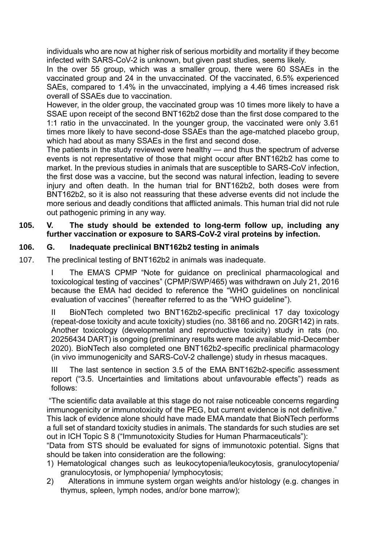individuals who are now at higher risk of serious morbidity and mortality if they become infected with SARS-CoV-2 is unknown, but given past studies, seems likely.

In the over 55 group, which was a smaller group, there were 60 SSAEs in the vaccinated group and 24 in the unvaccinated. Of the vaccinated, 6.5% experienced SAEs, compared to 1.4% in the unvaccinated, implying a 4.46 times increased risk overall of SSAEs due to vaccination.

However, in the older group, the vaccinated group was 10 times more likely to have a SSAE upon receipt of the second BNT162b2 dose than the first dose compared to the 1:1 ratio in the unvaccinated. In the younger group, the vaccinated were only 3.61 times more likely to have second-dose SSAEs than the age-matched placebo group, which had about as many SSAEs in the first and second dose.

The patients in the study reviewed were healthy — and thus the spectrum of adverse events is not representative of those that might occur after BNT162b2 has come to market. In the previous studies in animals that are susceptible to SARS-CoV infection, the first dose was a vaccine, but the second was natural infection, leading to severe injury and often death. In the human trial for BNT162b2, both doses were from BNT162b2, so it is also not reassuring that these adverse events did not include the more serious and deadly conditions that afflicted animals. This human trial did not rule out pathogenic priming in any way.

### **105. V. The study should be extended to long-term follow up, including any further vaccination or exposure to SARS-CoV-2 viral proteins by infection.**

## **106. G. Inadequate preclinical BNT162b2 testing in animals**

107. The preclinical testing of BNT162b2 in animals was inadequate.

The EMA'S CPMP "Note for guidance on preclinical pharmacological and toxicological testing of vaccines" (CPMP/SWP/465) was withdrawn on July 21, 2016 because the EMA had decided to reference the "WHO guidelines on nonclinical evaluation of vaccines" (hereafter referred to as the "WHO guideline").

II BioNTech completed two BNT162b2-specific preclinical 17 day toxicology (repeat-dose toxicity and acute toxicity) studies (no. 38166 and no. 20GR142) in rats. Another toxicology (developmental and reproductive toxicity) study in rats (no. 20256434 DART) is ongoing (preliminary results were made available mid-December 2020). BioNTech also completed one BNT162b2-specific preclinical pharmacology (in vivo immunogenicity and SARS-CoV-2 challenge) study in rhesus macaques.

III The last sentence in section 3.5 of the EMA BNT162b2-specific assessment report ("3.5. Uncertainties and limitations about unfavourable effects") reads as follows:

"The scientific data available at this stage do not raise noticeable concerns regarding immunogenicity or immunotoxicity of the PEG, but current evidence is not definitive."

This lack of evidence alone should have made EMA mandate that BioNTech performs a full set of standard toxicity studies in animals. The standards for such studies are set out in ICH Topic S 8 ("Immunotoxicity Studies for Human Pharmaceuticals"):

"Data from STS should be evaluated for signs of immunotoxic potential. Signs that should be taken into consideration are the following:

- 1) Hematological changes such as leukocytopenia/leukocytosis, granulocytopenia/ granulocytosis, or lymphopenia/ lymphocytosis;
- 2) Alterations in immune system organ weights and/or histology (e.g. changes in thymus, spleen, lymph nodes, and/or bone marrow);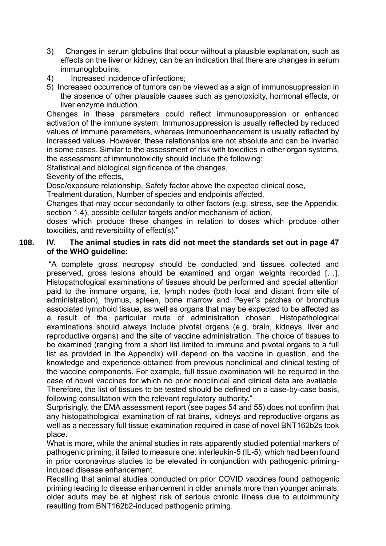- 3) Changes in serum globulins that occur without a plausible explanation, such as effects on the liver or kidney, can be an indication that there are changes in serum immunoglobulins;
- 4) Increased incidence of infections;
- 5) Increased occurrence of tumors can be viewed as a sign of immunosuppression in the absence of other plausible causes such as genotoxicity, hormonal effects, or liver enzyme induction.

Changes in these parameters could reflect immunosuppression or enhanced activation of the immune system. Immunosuppression is usually reflected by reduced values of immune parameters, whereas immunoenhancement is usually reflected by increased values. However, these relationships are not absolute and can be inverted in some cases. Similar to the assessment of risk with toxicities in other organ systems, the assessment of immunotoxicity should include the following:

Statistical and biological significance of the changes,

Severity of the effects,

Dose/exposure relationship, Safety factor above the expected clinical dose,

Treatment duration, Number of species and endpoints affected,

Changes that may occur secondarily to other factors (e.g. stress, see the Appendix, section 1.4), possible cellular targets and/or mechanism of action,

doses which produce these changes in relation to doses which produce other toxicities, and reversibility of effect(s)."

## **108. IV. The animal studies in rats did not meet the standards set out in page 47 of the WHO guideline:**

"A complete gross necropsy should be conducted and tissues collected and preserved, gross lesions should be examined and organ weights recorded […]. Histopathological examinations of tissues should be performed and special attention paid to the immune organs, i.e. lymph nodes (both local and distant from site of administration), thymus, spleen, bone marrow and Peyer's patches or bronchus associated lymphoid tissue, as well as organs that may be expected to be affected as a result of the particular route of administration chosen. Histopathological examinations should always include pivotal organs (e.g. brain, kidneys, liver and reproductive organs) and the site of vaccine administration. The choice of tissues to be examined (ranging from a short list limited to immune and pivotal organs to a full list as provided in the Appendix) will depend on the vaccine in question, and the knowledge and experience obtained from previous nonclinical and clinical testing of the vaccine components. For example, full tissue examination will be required in the case of novel vaccines for which no prior nonclinical and clinical data are available. Therefore, the list of tissues to be tested should be defined on a case-by-case basis, following consultation with the relevant regulatory authority."

Surprisingly, the EMA assessment report (see pages 54 and 55) does not confirm that any histopathological examination of rat brains, kidneys and reproductive organs as well as a necessary full tissue examination required in case of novel BNT162b2s took place.

What is more, while the animal studies in rats apparently studied potential markers of pathogenic priming, it failed to measure one: interleukin-5 (IL-5), which had been found in prior coronavirus studies to be elevated in conjunction with pathogenic priminginduced disease enhancement.

Recalling that animal studies conducted on prior COVID vaccines found pathogenic priming leading to disease enhancement in older animals more than younger animals, older adults may be at highest risk of serious chronic illness due to autoimmunity resulting from BNT162b2-induced pathogenic priming.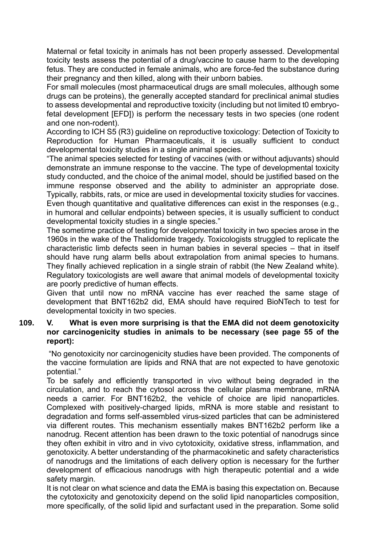Maternal or fetal toxicity in animals has not been properly assessed. Developmental toxicity tests assess the potential of a drug/vaccine to cause harm to the developing fetus. They are conducted in female animals, who are force-fed the substance during their pregnancy and then killed, along with their unborn babies.

For small molecules (most pharmaceutical drugs are small molecules, although some drugs can be proteins), the generally accepted standard for preclinical animal studies to assess developmental and reproductive toxicity (including but not limited t0 embryofetal development [EFD]) is perform the necessary tests in two species (one rodent and one non-rodent).

According to ICH S5 (R3) guideline on reproductive toxicology: Detection of Toxicity to Reproduction for Human Pharmaceuticals, it is usually sufficient to conduct developmental toxicity studies in a single animal species.

"The animal species selected for testing of vaccines (with or without adjuvants) should demonstrate an immune response to the vaccine. The type of developmental toxicity study conducted, and the choice of the animal model, should be justified based on the immune response observed and the ability to administer an appropriate dose. Typically, rabbits, rats, or mice are used in developmental toxicity studies for vaccines. Even though quantitative and qualitative differences can exist in the responses (e.g., in humoral and cellular endpoints) between species, it is usually sufficient to conduct developmental toxicity studies in a single species."

The sometime practice of testing for developmental toxicity in two species arose in the 1960s in the wake of the Thalidomide tragedy. Toxicologists struggled to replicate the characteristic limb defects seen in human babies in several species – that in itself should have rung alarm bells about extrapolation from animal species to humans. They finally achieved replication in a single strain of rabbit (the New Zealand white). Regulatory toxicologists are well aware that animal models of developmental toxicity are poorly predictive of human effects.

Given that until now no mRNA vaccine has ever reached the same stage of development that BNT162b2 did, EMA should have required BioNTech to test for developmental toxicity in two species.

#### **109. V. What is even more surprising is that the EMA did not deem genotoxicity nor carcinogenicity studies in animals to be necessary (see page 55 of the report):**

"No genotoxicity nor carcinogenicity studies have been provided. The components of the vaccine formulation are lipids and RNA that are not expected to have genotoxic potential."

To be safely and efficiently transported in vivo without being degraded in the circulation, and to reach the cytosol across the cellular plasma membrane, mRNA needs a carrier. For BNT162b2, the vehicle of choice are lipid nanoparticles. Complexed with positively-charged lipids, mRNA is more stable and resistant to degradation and forms self-assembled virus-sized particles that can be administered via different routes. This mechanism essentially makes BNT162b2 perform like a nanodrug. Recent attention has been drawn to the toxic potential of nanodrugs since they often exhibit in vitro and in vivo cytotoxicity, oxidative stress, inflammation, and genotoxicity. A better understanding of the pharmacokinetic and safety characteristics of nanodrugs and the limitations of each delivery option is necessary for the further development of efficacious nanodrugs with high therapeutic potential and a wide safety margin.

It is not clear on what science and data the EMA is basing this expectation on. Because the cytotoxicity and genotoxicity depend on the solid lipid nanoparticles composition, more specifically, of the solid lipid and surfactant used in the preparation. Some solid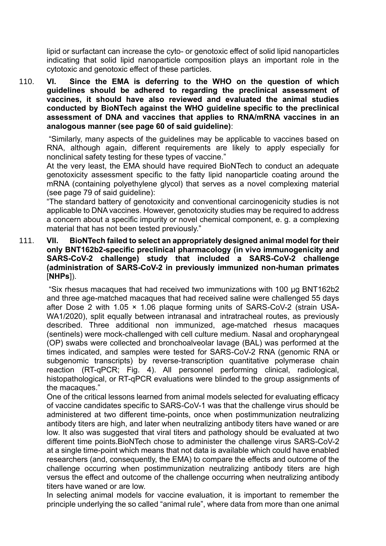lipid or surfactant can increase the cyto- or genotoxic effect of solid lipid nanoparticles indicating that solid lipid nanoparticle composition plays an important role in the cytotoxic and genotoxic effect of these particles.

110. **VI. Since the EMA is deferring to the WHO on the question of which guidelines should be adhered to regarding the preclinical assessment of vaccines, it should have also reviewed and evaluated the animal studies conducted by BioNTech against the WHO guideline specific to the preclinical assessment of DNA and vaccines that applies to RNA/mRNA vaccines in an analogous manner (see page 60 of said guideline)**:

"Similarly, many aspects of the guidelines may be applicable to vaccines based on RNA, although again, different requirements are likely to apply especially for nonclinical safety testing for these types of vaccine."

At the very least, the EMA should have required BioNTech to conduct an adequate genotoxicity assessment specific to the fatty lipid nanoparticle coating around the mRNA (containing polyethylene glycol) that serves as a novel complexing material (see page 79 of said guideline):

"The standard battery of genotoxicity and conventional carcinogenicity studies is not applicable to DNA vaccines. However, genotoxicity studies may be required to address a concern about a specific impurity or novel chemical component, e. g. a complexing material that has not been tested previously."

#### 111. **VII. BioNTech failed to select an appropriately designed animal model for their only BNT162b2-specific preclinical pharmacology (in vivo immunogenicity and SARS-CoV-2 challenge) study that included a SARS-CoV-2 challenge (administration of SARS-CoV-2 in previously immunized non-human primates** [**NHPs**]).

"Six rhesus macaques that had received two immunizations with 100 μg BNT162b2 and three age-matched macaques that had received saline were challenged 55 days after Dose 2 with 1.05 × 1.06 plaque forming units of SARS-CoV-2 (strain USA-WA1/2020), split equally between intranasal and intratracheal routes, as previously described. Three additional non immunized, age-matched rhesus macaques (sentinels) were mock-challenged with cell culture medium. Nasal and oropharyngeal (OP) swabs were collected and bronchoalveolar lavage (BAL) was performed at the times indicated, and samples were tested for SARS-CoV-2 RNA (genomic RNA or subgenomic transcripts) by reverse-transcription quantitative polymerase chain reaction (RT-qPCR; Fig. 4). All personnel performing clinical, radiological, histopathological, or RT-qPCR evaluations were blinded to the group assignments of the macaques."

One of the critical lessons learned from animal models selected for evaluating efficacy of vaccine candidates specific to SARS-CoV-1 was that the challenge virus should be administered at two different time-points, once when postimmunization neutralizing antibody titers are high, and later when neutralizing antibody titers have waned or are low. It also was suggested that viral titers and pathology should be evaluated at two different time points.BioNTech chose to administer the challenge virus SARS-CoV-2 at a single time-point which means that not data is available which could have enabled researchers (and, consequently, the EMA) to compare the effects and outcome of the challenge occurring when postimmunization neutralizing antibody titers are high versus the effect and outcome of the challenge occurring when neutralizing antibody titers have waned or are low.

In selecting animal models for vaccine evaluation, it is important to remember the principle underlying the so called "animal rule", where data from more than one animal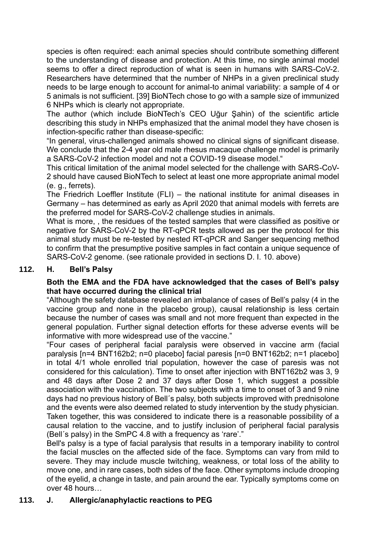species is often required: each animal species should contribute something different to the understanding of disease and protection. At this time, no single animal model seems to offer a direct reproduction of what is seen in humans with SARS-CoV-2. Researchers have determined that the number of NHPs in a given preclinical study needs to be large enough to account for animal-to animal variability: a sample of 4 or 5 animals is not sufficient. [39] BioNTech chose to go with a sample size of immunized 6 NHPs which is clearly not appropriate.

The author (which include BioNTech's CEO Uğur Şahin) of the scientific article describing this study in NHPs emphasized that the animal model they have chosen is infection-specific rather than disease-specific:

"In general, virus-challenged animals showed no clinical signs of significant disease. We conclude that the 2-4 year old male rhesus macaque challenge model is primarily a SARS-CoV-2 infection model and not a COVID-19 disease model."

This critical limitation of the animal model selected for the challenge with SARS-CoV-2 should have caused BioNTech to select at least one more appropriate animal model (e. g., ferrets).

The Friedrich Loeffler Institute (FLI) – the national institute for animal diseases in Germany – has determined as early as April 2020 that animal models with ferrets are the preferred model for SARS-CoV-2 challenge studies in animals.

What is more, , the residues of the tested samples that were classified as positive or negative for SARS-CoV-2 by the RT-qPCR tests allowed as per the protocol for this animal study must be re-tested by nested RT-qPCR and Sanger sequencing method to confirm that the presumptive positive samples in fact contain a unique sequence of SARS-CoV-2 genome. (see rationale provided in sections D. I. 10. above)

## **112. H. Bell's Palsy**

## **Both the EMA and the FDA have acknowledged that the cases of Bell's palsy that have occurred during the clinical trial**

"Although the safety database revealed an imbalance of cases of Bell's palsy (4 in the vaccine group and none in the placebo group), causal relationship is less certain because the number of cases was small and not more frequent than expected in the general population. Further signal detection efforts for these adverse events will be informative with more widespread use of the vaccine."

"Four cases of peripheral facial paralysis were observed in vaccine arm (facial paralysis [n=4 BNT162b2; n=0 placebo] facial paresis [n=0 BNT162b2; n=1 placebo] in total 4/1 whole enrolled trial population, however the case of paresis was not considered for this calculation). Time to onset after injection with BNT162b2 was 3, 9 and 48 days after Dose 2 and 37 days after Dose 1, which suggest a possible association with the vaccination. The two subjects with a time to onset of 3 and 9 nine days had no previous history of Bell´s palsy, both subjects improved with prednisolone and the events were also deemed related to study intervention by the study physician. Taken together, this was considered to indicate there is a reasonable possibility of a causal relation to the vaccine, and to justify inclusion of peripheral facial paralysis (Bell´s palsy) in the SmPC 4.8 with a frequency as 'rare'."

Bell's palsy is a type of facial paralysis that results in a temporary inability to control the facial muscles on the affected side of the face. Symptoms can vary from mild to severe. They may include muscle twitching, weakness, or total loss of the ability to move one, and in rare cases, both sides of the face. Other symptoms include drooping of the eyelid, a change in taste, and pain around the ear. Typically symptoms come on over 48 hours…

#### **113. J. Allergic/anaphylactic reactions to PEG**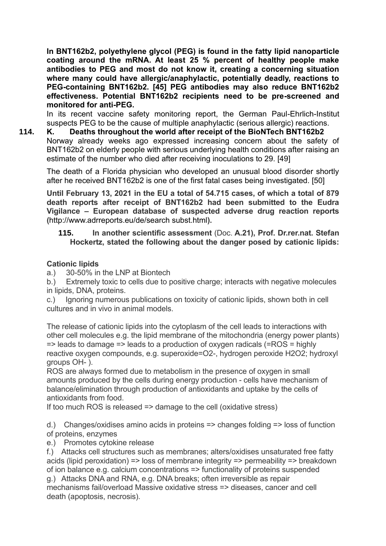**In BNT162b2, polyethylene glycol (PEG) is found in the fatty lipid nanoparticle coating around the mRNA. At least 25 % percent of healthy people make antibodies to PEG and most do not know it, creating a concerning situation where many could have allergic/anaphylactic, potentially deadly, reactions to PEG-containing BNT162b2. [45] PEG antibodies may also reduce BNT162b2 effectiveness. Potential BNT162b2 recipients need to be pre-screened and monitored for anti-PEG.**

In its recent vaccine safety monitoring report, the German Paul-Ehrlich-Institut suspects PEG to be the cause of multiple anaphylactic (serious allergic) reactions.

**114. K. Deaths throughout the world after receipt of the BioNTech BNT162b2** Norway already weeks ago expressed increasing concern about the safety of BNT162b2 on elderly people with serious underlying health conditions after raising an estimate of the number who died after receiving inoculations to 29. [49]

The death of a Florida physician who developed an unusual blood disorder shortly after he received BNT162b2 is one of the first fatal cases being investigated. [50]

**Until February 13, 2021 in the EU a total of 54.715 cases, of which a total of 879 death reports after receipt of BNT162b2 had been submitted to the Eudra Vigilance – European database of suspected adverse drug reaction reports (**[http://www.adrreports.eu/de/search subst.html](http://www.adrreports.eu/de/search%20subst.html)**).**

**115. In another scientific assessment** (Doc. **A.21), Prof. Dr.rer.nat. Stefan Hockertz, stated the following about the danger posed by cationic lipids:**

## **Cationic lipids**

a.) 30-50% in the LNP at Biontech

b.) Extremely toxic to cells due to positive charge; interacts with negative molecules in lipids, DNA, proteins.

c.) Ignoring numerous publications on toxicity of cationic lipids, shown both in cell cultures and in vivo in animal models.

The release of cationic lipids into the cytoplasm of the cell leads to interactions with other cell molecules e.g. the lipid membrane of the mitochondria (energy power plants)  $\Rightarrow$  leads to damage  $\Rightarrow$  leads to a production of oxygen radicals (=ROS = highly reactive oxygen compounds, e.g. superoxide=O2-, hydrogen peroxide H2O2; hydroxyl groups OH- ).

ROS are always formed due to metabolism in the presence of oxygen in small amounts produced by the cells during energy production - cells have mechanism of balance/elimination through production of antioxidants and uptake by the cells of antioxidants from food.

If too much ROS is released => damage to the cell (oxidative stress)

d.) Changes/oxidises amino acids in proteins => changes folding => loss of function of proteins, enzymes

e.) Promotes cytokine release

f.) Attacks cell structures such as membranes; alters/oxidises unsaturated free fatty acids (lipid peroxidation) => loss of membrane integrity => permeability => breakdown of ion balance e.g. calcium concentrations => functionality of proteins suspended g.) Attacks DNA and RNA, e.g. DNA breaks; often irreversible as repair

mechanisms fail/overload Massive oxidative stress => diseases, cancer and cell death (apoptosis, necrosis).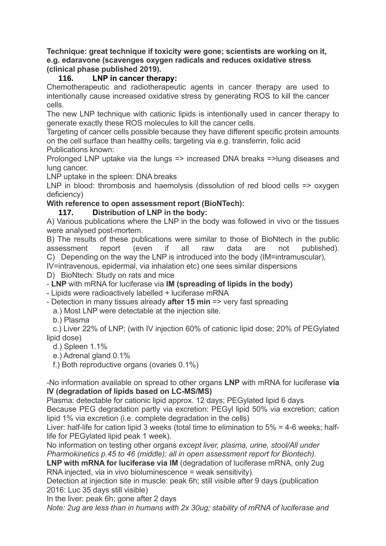**Technique: great technique if toxicity were gone; scientists are working on it, e.g. edaravone (scavenges oxygen radicals and reduces oxidative stress (clinical phase published 2019).**

## **116. LNP in cancer therapy:**

Chemotherapeutic and radiotherapeutic agents in cancer therapy are used to intentionally cause increased oxidative stress by generating ROS to kill the cancer cells.

The new LNP technique with cationic lipids is intentionally used in cancer therapy to generate exactly these ROS molecules to kill the cancer cells.

Targeting of cancer cells possible because they have different specific protein amounts on the cell surface than healthy cells; targeting via e.g. transferrin, folic acid Publications known:

Prolonged LNP uptake via the lungs => increased DNA breaks =>lung diseases and lung cancer.

LNP uptake in the spleen: DNA breaks

LNP in blood: thrombosis and haemolysis (dissolution of red blood cells => oxygen deficiency)

## **With reference to open assessment report (BioNTech):**

**117. Distribution of LNP in the body:**

A) Various publications where the LNP in the body was followed in vivo or the tissues were analysed post-mortem.

B) The results of these publications were similar to those of BioNtech in the public assessment report (even if all raw data are not published). C) Depending on the way the LNP is introduced into the body (IM=intramuscular),

IV=intravenous, epidermal, via inhalation etc) one sees similar dispersions

D) BioNtech: Study on rats and mice

- **LNP** with mRNA for luciferase via **IM (spreading of lipids in the body)**

- Lipids were radioactively labelled + luciferase mRNA

- Detection in many tissues already **after 15 min** => very fast spreading

a.) Most LNP were detectable at the injection site.

b.) Plasma

 c.) Liver 22% of LNP; (with IV injection 60% of cationic lipid dose; 20% of PEGylated lipid dose)

d.) Spleen 1.1%

e.) Adrenal gland 0.1%

f.) Both reproductive organs (ovaries 0.1%)

-No information available on spread to other organs **LNP** with mRNA for luciferase **via IV (degradation of lipids based on LC-MS/MS)**

Plasma: detectable for cationic lipid approx. 12 days; PEGylated lipid 6 days Because PEG degradation partly via excretion: PEGyl lipid 50% via excretion; cation lipid 1% via excretion (i.e. complete degradation in the cells)

Liver: half-life for cation lipid 3 weeks (total time to elimination to 5% = 4-6 weeks; halflife for PEGylated lipid peak 1 week).

No information on testing other organs *except liver, plasma, urine, stool/All under Pharmokinetics p.45 to 46 (middle); all in open assessment report for Biontech).*

LNP with mRNA for luciferase via IM (degradation of luciferase mRNA, only 2ug RNA injected, via in vivo bioluminescence = weak sensitivity).

Detection at injection site in muscle: peak 6h; still visible after 9 days (publication 2016: Luc 35 days still visible)

In the liver: peak 6h; gone after 2 days

*Note: 2ug are less than in humans with 2x 30ug; stability of mRNA of luciferase and*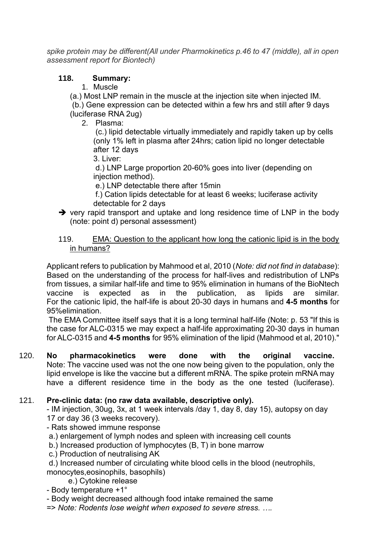*spike protein may be different(All under Pharmokinetics p.46 to 47 (middle), all in open assessment report for Biontech)*

## **118. Summary:**

## 1. Muscle

(a.) Most LNP remain in the muscle at the injection site when injected IM. (b.) Gene expression can be detected within a few hrs and still after 9 days (luciferase RNA 2ug)

2. Plasma:

(c.) lipid detectable virtually immediately and rapidly taken up by cells (only 1% left in plasma after 24hrs; cation lipid no longer detectable after 12 days

3. Liver:

d.) LNP Large proportion 20-60% goes into liver (depending on injection method).

e.) LNP detectable there after 15min

f.) Cation lipids detectable for at least 6 weeks; luciferase activity detectable for 2 days

➔ very rapid transport and uptake and long residence time of LNP in the body (note: point d) personal assessment)

## 119. EMA: Question to the applicant how long the cationic lipid is in the body in humans?

Applicant refers to publication by Mahmood et al, 2010 (*Note: did not find in database*): Based on the understanding of the process for half-lives and redistribution of LNPs from tissues, a similar half-life and time to 95% elimination in humans of the BioNtech vaccine is expected as in the publication, as lipids are similar. For the cationic lipid, the half-life is about 20-30 days in humans and **4-5 months** for 95%elimination.

The EMA Committee itself says that it is a long terminal half-life (Note: p. 53 "If this is the case for ALC-0315 we may expect a half-life approximating 20-30 days in human for ALC-0315 and **4-5 months** for 95% elimination of the lipid (Mahmood et al, 2010)."

120. **No pharmacokinetics were done with the original vaccine.** Note: The vaccine used was not the one now being given to the population, only the lipid envelope is like the vaccine but a different mRNA. The spike protein mRNA may have a different residence time in the body as the one tested (luciferase).

## 121. **Pre-clinic data: (no raw data available, descriptive only).**

- IM injection, 30ug, 3x, at 1 week intervals /day 1, day 8, day 15), autopsy on day 17 or day 36 (3 weeks recovery).

- Rats showed immune response

- a.) enlargement of lymph nodes and spleen with increasing cell counts
- b.) Increased production of lymphocytes (B, T) in bone marrow
- c.) Production of neutralising AK

d.) Increased number of circulating white blood cells in the blood (neutrophils, monocytes,eosinophils, basophils)

e.) Cytokine release

- Body temperature +1°

- Body weight decreased although food intake remained the same

=> *Note: Rodents lose weight when exposed to severe stress. ….*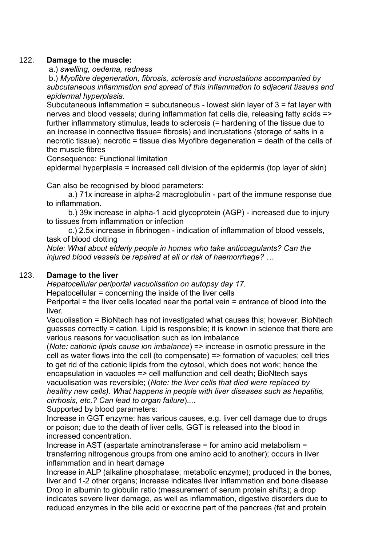### 122. **Damage to the muscle:**

a.) *swelling, oedema, redness*

b.) *Myofibre degeneration, fibrosis, sclerosis and incrustations accompanied by subcutaneous inflammation and spread of this inflammation to adjacent tissues and epidermal hyperplasia.*

Subcutaneous inflammation = subcutaneous - lowest skin layer of 3 = fat layer with nerves and blood vessels; during inflammation fat cells die, releasing fatty acids => further inflammatory stimulus, leads to sclerosis (= hardening of the tissue due to an increase in connective tissue= fibrosis) and incrustations (storage of salts in a necrotic tissue); necrotic = tissue dies Myofibre degeneration = death of the cells of the muscle fibres

Consequence: Functional limitation

epidermal hyperplasia = increased cell division of the epidermis (top layer of skin)

Can also be recognised by blood parameters:

 a.) 71x increase in alpha-2 macroglobulin - part of the immune response due to inflammation.

 b.) 39x increase in alpha-1 acid glycoprotein (AGP) - increased due to injury to tissues from inflammation or infection

 c.) 2.5x increase in fibrinogen - indication of inflammation of blood vessels, task of blood clotting

*Note: What about elderly people in homes who take anticoagulants? Can the injured blood vessels be repaired at all or risk of haemorrhage? …*

## 123. **Damage to the liver**

*Hepatocellular periportal vacuolisation on autopsy day 17.*

Hepatocellular = concerning the inside of the liver cells

Periportal = the liver cells located near the portal vein = entrance of blood into the liver.

Vacuolisation = BioNtech has not investigated what causes this; however, BioNtech guesses correctly = cation. Lipid is responsible; it is known in science that there are various reasons for vacuolisation such as ion imbalance

(*Note: cationic lipids cause ion imbalance*) => increase in osmotic pressure in the cell as water flows into the cell (to compensate) => formation of vacuoles; cell tries to get rid of the cationic lipids from the cytosol, which does not work; hence the encapsulation in vacuoles => cell malfunction and cell death; BioNtech says vacuolisation was reversible; (*Note: the liver cells that died were replaced by healthy new cells). What happens in people with liver diseases such as hepatitis, cirrhosis, etc.? Can lead to organ failure*)....

Supported by blood parameters:

Increase in GGT enzyme: has various causes, e.g. liver cell damage due to drugs or poison; due to the death of liver cells, GGT is released into the blood in increased concentration.

Increase in AST (aspartate aminotransferase = for amino acid metabolism = transferring nitrogenous groups from one amino acid to another); occurs in liver inflammation and in heart damage

Increase in ALP (alkaline phosphatase; metabolic enzyme); produced in the bones, liver and 1-2 other organs; increase indicates liver inflammation and bone disease Drop in albumin to globulin ratio (measurement of serum protein shifts); a drop indicates severe liver damage, as well as inflammation, digestive disorders due to reduced enzymes in the bile acid or exocrine part of the pancreas (fat and protein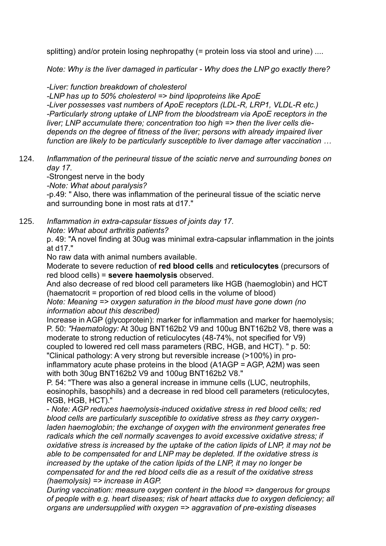splitting) and/or protein losing nephropathy (= protein loss via stool and urine) ....

*Note: Why is the liver damaged in particular - Why does the LNP go exactly there?*

*-Liver: function breakdown of cholesterol -LNP has up to 50% cholesterol => bind lipoproteins like ApoE -Liver possesses vast numbers of ApoE receptors (LDL-R, LRP1, VLDL-R etc.) -Particularly strong uptake of LNP from the bloodstream via ApoE receptors in the liver; LNP accumulate there; concentration too high => then the liver cells diedepends on the degree of fitness of the liver; persons with already impaired liver function are likely to be particularly susceptible to liver damage after vaccination …*

124. *Inflammation of the perineural tissue of the sciatic nerve and surrounding bones on day 17.*

-Strongest nerve in the body

*-Note: What about paralysis?*

-p.49: " Also, there was inflammation of the perineural tissue of the sciatic nerve and surrounding bone in most rats at d17."

125. *Inflammation in extra-capsular tissues of joints day 17. Note: What about arthritis patients?*

p. 49: "A novel finding at 30ug was minimal extra-capsular inflammation in the joints at d17."

No raw data with animal numbers available.

Moderate to severe reduction of **red blood cells** and **reticulocytes** (precursors of red blood cells) = **severe haemolysis** observed.

And also decrease of red blood cell parameters like HGB (haemoglobin) and HCT (haematocrit = proportion of red blood cells in the volume of blood)

*Note: Meaning => oxygen saturation in the blood must have gone down (no information about this described)*

Increase in AGP (glycoprotein): marker for inflammation and marker for haemolysis; P. 50: *"Haematology:* At 30ug BNT162b2 V9 and 100ug BNT162b2 V8, there was a moderate to strong reduction of reticulocytes (48-74%, not specified for V9) coupled to lowered red cell mass parameters (RBC, HGB, and HCT). " p. 50: "Clinical pathology: A very strong but reversible increase (>100%) in proinflammatory acute phase proteins in the blood (A1AGP = AGP, A2M) was seen with both 30ug BNT162b2 V9 and 100ug BNT162b2 V8."

P. 54: "There was also a general increase in immune cells (LUC, neutrophils, eosinophils, basophils) and a decrease in red blood cell parameters (reticulocytes, RGB, HGB, HCT)."

- *Note: AGP reduces haemolysis-induced oxidative stress in red blood cells; red blood cells are particularly susceptible to oxidative stress as they carry oxygenladen haemoglobin; the exchange of oxygen with the environment generates free radicals which the cell normally scavenges to avoid excessive oxidative stress; if oxidative stress is increased by the uptake of the cation lipids of LNP, it may not be able to be compensated for and LNP may be depleted. If the oxidative stress is increased by the uptake of the cation lipids of the LNP, it may no longer be compensated for and the red blood cells die as a result of the oxidative stress (haemolysis) => increase in AGP.*

*During vaccination: measure oxygen content in the blood => dangerous for groups of people with e.g. heart diseases; risk of heart attacks due to oxygen deficiency; all organs are undersupplied with oxygen => aggravation of pre-existing diseases*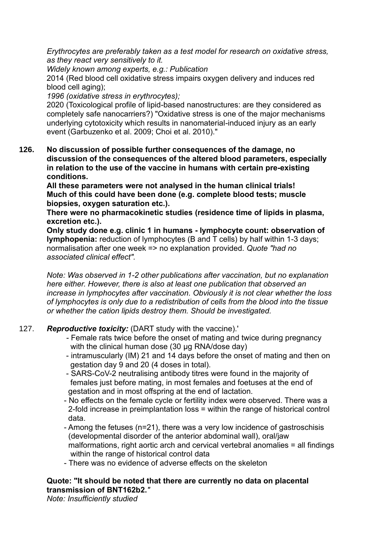*Erythrocytes are preferably taken as a test model for research on oxidative stress, as they react very sensitively to it.*

*Widely known among experts, e.g.: Publication* 

2014 (Red blood cell oxidative stress impairs oxygen delivery and induces red blood cell aging);

*1996 (oxidative stress in erythrocytes);* 

2020 (Toxicological profile of lipid-based nanostructures: are they considered as completely safe nanocarriers?) "Oxidative stress is one of the major mechanisms underlying cytotoxicity which results in nanomaterial-induced injury as an early event (Garbuzenko et al. 2009; Choi et al. 2010)."

**126. No discussion of possible further consequences of the damage, no discussion of the consequences of the altered blood parameters, especially in relation to the use of the vaccine in humans with certain pre-existing conditions.**

**All these parameters were not analysed in the human clinical trials! Much of this could have been done (e.g. complete blood tests; muscle biopsies, oxygen saturation etc.).**

**There were no pharmacokinetic studies (residence time of lipids in plasma, excretion etc.).**

**Only study done e.g. clinic 1 in humans - lymphocyte count: observation of lymphopenia:** reduction of lymphocytes (B and T cells) by half within 1-3 days; normalisation after one week => no explanation provided. *Quote "had no associated clinical effect".*

*Note: Was observed in 1-2 other publications after vaccination, but no explanation here either. However, there is also at least one publication that observed an increase in lymphocytes after vaccination. Obviously it is not clear whether the loss of lymphocytes is only due to a redistribution of cells from the blood into the tissue or whether the cation lipids destroy them. Should be investigated.*

- 127. *Reproductive toxicity:* (DART study with the vaccine).'
	- *-* Female rats twice before the onset of mating and twice during pregnancy with the clinical human dose (30 μg RNA/dose day)
	- intramuscularly (IM) 21 and 14 days before the onset of mating and then on gestation day 9 and 20 (4 doses in total).
	- SARS-CoV-2 neutralising antibody titres were found in the majority of females just before mating, in most females and foetuses at the end of gestation and in most offspring at the end of lactation.
	- No effects on the female cycle or fertility index were observed. There was a 2-fold increase in preimplantation loss = within the range of historical control data.
	- Among the fetuses (n=21), there was a very low incidence of gastroschisis (developmental disorder of the anterior abdominal wall), oral/jaw malformations, right aortic arch and cervical vertebral anomalies = all findings within the range of historical control data
	- There was no evidence of adverse effects on the skeleton

## **Quote: "It should be noted that there are currently no data on placental transmission of BNT162b2.***"*

*Note: Insufficiently studied*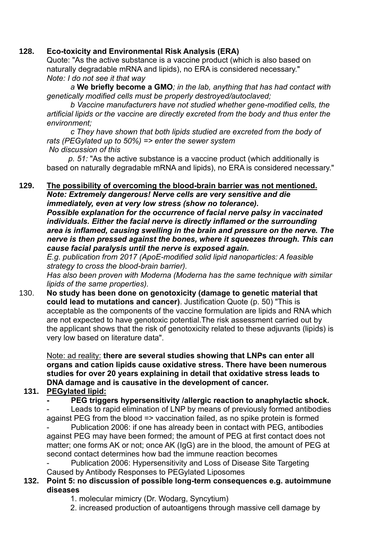## **128. Eco-toxicity and Environmental Risk Analysis (ERA)**

Quote: "As the active substance is a vaccine product (which is also based on naturally degradable mRNA and lipids), no ERA is considered necessary." *Note: I do not see it that way*

 *a* **We briefly become a GMO***; in the lab, anything that has had contact with genetically modified cells must be properly destroyed/autoclaved;*

 *b Vaccine manufacturers have not studied whether gene-modified cells, the artificial lipids or the vaccine are directly excreted from the body and thus enter the environment;*

 *c They have shown that both lipids studied are excreted from the body of rats (PEGylated up to 50%) => enter the sewer system No discussion of this*

 *p. 51:* "As the active substance is a vaccine product (which additionally is based on naturally degradable mRNA and lipids), no ERA is considered necessary."

# **129. The possibility of overcoming the blood-brain barrier was not mentioned.**

*Note: Extremely dangerous! Nerve cells are very sensitive and die immediately, even at very low stress (show no tolerance). Possible explanation for the occurrence of facial nerve palsy in vaccinated individuals. Either the facial nerve is directly inflamed or the surrounding area is inflamed, causing swelling in the brain and pressure on the nerve. The nerve is then pressed against the bones, where it squeezes through. This can cause facial paralysis until the nerve is exposed again.*

*E.g. publication from 2017 (ApoE-modified solid lipid nanoparticles: A feasible strategy to cross the blood-brain barrier).*

*Has also been proven with Moderna (Moderna has the same technique with similar lipids of the same properties).*

130. **No study has been done on genotoxicity (damage to genetic material that could lead to mutations and cancer)**. Justification Quote (p. 50) "This is acceptable as the components of the vaccine formulation are lipids and RNA which are not expected to have genotoxic potential.The risk assessment carried out by the applicant shows that the risk of genotoxicity related to these adjuvants (lipids) is very low based on literature data".

Note: ad reality: **there are several studies showing that LNPs can enter all organs and cation lipids cause oxidative stress. There have been numerous studies for over 20 years explaining in detail that oxidative stress leads to DNA damage and is causative in the development of cancer.**

## **131. PEGylated lipid:**

**- PEG triggers hypersensitivity /allergic reaction to anaphylactic shock.**

Leads to rapid elimination of LNP by means of previously formed antibodies against PEG from the blood => vaccination failed, as no spike protein is formed

Publication 2006: if one has already been in contact with PEG, antibodies against PEG may have been formed; the amount of PEG at first contact does not matter; one forms AK or not; once AK (IgG) are in the blood, the amount of PEG at second contact determines how bad the immune reaction becomes

Publication 2006: Hypersensitivity and Loss of Disease Site Targeting Caused by Antibody Responses to PEGylated Liposomes

- **132. Point 5: no discussion of possible long-term consequences e.g. autoimmune diseases**
	- 1. molecular mimicry (Dr. Wodarg, Syncytium)
	- 2. increased production of autoantigens through massive cell damage by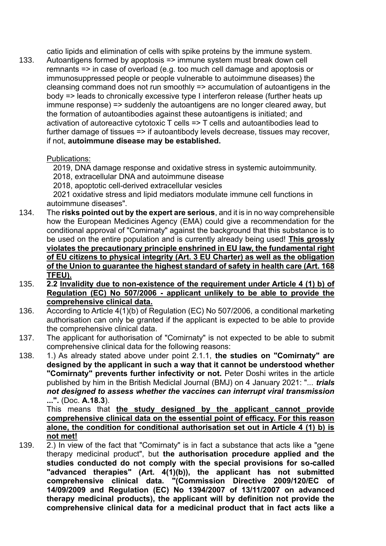catio lipids and elimination of cells with spike proteins by the immune system.

133. Autoantigens formed by apoptosis => immune system must break down cell remnants => in case of overload (e.g. too much cell damage and apoptosis or immunosuppressed people or people vulnerable to autoimmune diseases) the cleansing command does not run smoothly => accumulation of autoantigens in the body => leads to chronically excessive type I interferon release (further heats up immune response) => suddenly the autoantigens are no longer cleared away, but the formation of autoantibodies against these autoantigens is initiated; and activation of autoreactive cytotoxic T cells => T cells and autoantibodies lead to further damage of tissues => if autoantibody levels decrease, tissues may recover, if not, **autoimmune disease may be established.**

## Publications:

2019, DNA damage response and oxidative stress in systemic autoimmunity.

2018, extracellular DNA and autoimmune disease

2018, apoptotic cell-derived extracellular vesicles

 2021 oxidative stress and lipid mediators modulate immune cell functions in autoimmune diseases".

- 134. The **risks pointed out by the expert are serious**, and it is in no way comprehensible how the European Medicines Agency (EMA) could give a recommendation for the conditional approval of "Comirnaty" against the background that this substance is to be used on the entire population and is currently already being used! **This grossly violates the precautionary principle enshrined in EU law, the fundamental right of EU citizens to physical integrity (Art. 3 EU Charter) as well as the obligation of the Union to guarantee the highest standard of safety in health care (Art. 168 TFEU).**
- 135. **2.2 Invalidity due to non-existence of the requirement under Article 4 (1) b) of Regulation (EC) No 507/2006 - applicant unlikely to be able to provide the comprehensive clinical data.**
- 136. According to Article 4(1)(b) of Regulation (EC) No 507/2006, a conditional marketing authorisation can only be granted if the applicant is expected to be able to provide the comprehensive clinical data.
- 137. The applicant for authorisation of "Comirnaty" is not expected to be able to submit comprehensive clinical data for the following reasons:
- 138. 1.) As already stated above under point 2.1.1, **the studies on "Comirnaty" are designed by the applicant in such a way that it cannot be understood whether "Comirnaty" prevents further infectivity or not.** Peter Doshi writes in the article published by him in the British Mediclal Journal (BMJ) on 4 January 2021: "... *trials not designed to assess whether the vaccines can interrupt viral transmission* **...".** (Doc. **A.18.3**).

This means that **the study designed by the applicant cannot provide comprehensive clinical data on the essential point of efficacy. For this reason alone, the condition for conditional authorisation set out in Article 4 (1) b) is not met!**

139.  $\overline{2}$ .) In view of the fact that "Comirnaty" is in fact a substance that acts like a "gene therapy medicinal product", but **the authorisation procedure applied and the studies conducted do not comply with the special provisions for so-called "advanced therapies" (Art. 4(1)(b)), the applicant has not submitted comprehensive clinical data. "(Commission Directive 2009/120/EC of 14/09/2009 and Regulation (EC) No 1394/2007 of 13/11/2007 on advanced therapy medicinal products), the applicant will by definition not provide the comprehensive clinical data for a medicinal product that in fact acts like a**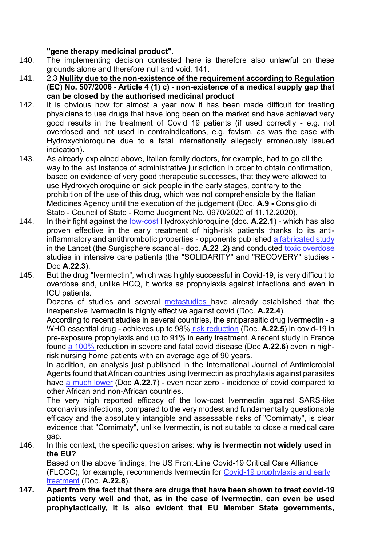## **"gene therapy medicinal product".**

- 140. The implementing decision contested here is therefore also unlawful on these grounds alone and therefore null and void. 141.
- 141. 2.3 **Nullity due to the non-existence of the requirement according to Regulation (EC) No. 507/2006 - Article 4 (1) c) - non-existence of a medical supply gap that can be closed by the authorised medicinal product**
- 142. It is obvious how for almost a year now it has been made difficult for treating physicians to use drugs that have long been on the market and have achieved very good results in the treatment of Covid 19 patients (if used correctly - e.g. not overdosed and not used in contraindications, e.g. favism, as was the case with Hydroxychloroquine due to a fatal internationally allegedly erroneously issued indication).
- 143. As already explained above, Italian family doctors, for example, had to go all the way to the last instance of administrative jurisdiction in order to obtain confirmation, based on evidence of very good therapeutic successes, that they were allowed to use Hydroxychloroquine on sick people in the early stages, contrary to the prohibition of the use of this drug, which was not comprehensible by the Italian Medicines Agency until the execution of the judgement (Doc. **A.9 -** Consiglio di Stato - Council of State - Rome Judgment No. 0970/2020 of 11.12.2020).
- 144. In their fight against the low-cost Hydroxychloroquine (doc. **A.22.1**) which has also proven effective in the early treatment of high-risk patients thanks to its antiinflammatory and antithrombotic properties - opponents published a fabricated study in the Lancet (the Surgisphere scandal - doc. **A.22 .2)** and conducted toxic overdose studies in intensive care patients (the "SOLIDARITY" and "RECOVERY" studies - Doc **A.22.3**).
- 145. But the drug "Ivermectin", which was highly successful in Covid-19, is very difficult to overdose and, unlike HCQ, it works as prophylaxis against infections and even in ICU patients.

Dozens of studies and several metastudies have already established that the inexpensive Ivermectin is highly effective against covid (Doc. **A.22.4**).

According to recent studies in several countries, the antiparasitic drug Ivermectin - a WHO essential drug - achieves up to 98% risk reduction (Doc. **A.22.5**) in covid-19 in pre-exposure prophylaxis and up to 91% in early treatment. A recent study in France found a 100% reduction in severe and fatal covid disease (Doc **A.22.6**) even in highrisk nursing home patients with an average age of 90 years.

In addition, an analysis just published in the International Journal of Antimicrobial Agents found that African countries using Ivermectin as prophylaxis against parasites have a much lower (Doc **A.22.7**) - even near zero - incidence of covid compared to other African and non-African countries.

The very high reported efficacy of the low-cost Ivermectin against SARS-like coronavirus infections, compared to the very modest and fundamentally questionable efficacy and the absolutely intangible and assessable risks of "Comirnaty", is clear evidence that "Comirnaty", unlike Ivermectin, is not suitable to close a medical care gap.

146. In this context, the specific question arises: **why is Ivermectin not widely used in the EU?**

Based on the above findings, the US Front-Line Covid-19 Critical Care Alliance (FLCCC), for example, recommends Ivermectin for Covid-19 prophylaxis and early treatment (Doc. **A.22.8**).

**147. Apart from the fact that there are drugs that have been shown to treat covid-19 patients very well and that, as in the case of Ivermectin, can even be used prophylactically, it is also evident that EU Member State governments,**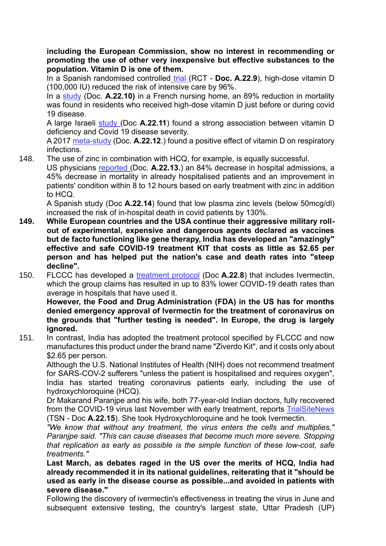**including the European Commission, show no interest in recommending or promoting the use of other very inexpensive but effective substances to the population. Vitamin D is one of them.**

In a Spanish randomised controlled trial (RCT - **Doc. A.22.9**), high-dose vitamin D (100,000 IU) reduced the risk of intensive care by 96%.

In a study (Doc. **A.22.10)** in a French nursing home, an 89% reduction in mortality was found in residents who received high-dose vitamin D just before or during covid 19 disease.

A large Israeli study (Doc **A.22.11**) found a strong association between vitamin D deficiency and Covid 19 disease severity.

A 2017 meta-study (Doc. **A.22.12**.) found a positive effect of vitamin D on respiratory infections.

148. The use of zinc in combination with HCQ, for example, is equally successful.

US physicians reported (Doc. **A.22.13.**) an 84% decrease in hospital admissions, a 45% decrease in mortality in already hospitalised patients and an improvement in patients' condition within 8 to 12 hours based on early treatment with zinc in addition to HCQ.

A Spanish study (Doc **A.22.14**) found that low plasma zinc levels (below 50mcg/dl) increased the risk of in-hospital death in covid patients by 130%.

- **149. While European countries and the USA continue their aggressive military rollout of experimental, expensive and dangerous agents declared as vaccines but de facto functioning like gene therapy, India has developed an "amazingly" effective and safe COVID-19 treatment KIT that costs as little as \$2.65 per person and has helped put the nation's case and death rates into "steep decline".**
- 150. FLCCC has developed a treatment protocol (Doc **A.22.8**) that includes Ivermectin, which the group claims has resulted in up to 83% lower COVID-19 death rates than average in hospitals that have used it.

**However, the Food and Drug Administration (FDA) in the US has for months denied emergency approval of Ivermectin for the treatment of coronavirus on the grounds that "further testing is needed". In Europe, the drug is largely ignored.**

151. In contrast, India has adopted the treatment protocol specified by FLCCC and now manufactures this product under the brand name "Ziverdo Kit", and it costs only about \$2.65 per person.

Although the U.S. National Institutes of Health (NIH) does not recommend treatment for SARS-COV-2 sufferers "unless the patient is hospitalised and requires oxygen", India has started treating coronavirus patients early, including the use of hydroxychloroquine (HCQ).

Dr Makarand Paranjpe and his wife, both 77-year-old Indian doctors, fully recovered from the COVID-19 virus last November with early treatment, reports TrialSiteNews (TSN - Doc **A.22.15**). She took Hydroxychloroquine and he took Ivermectin.

*"We know that without any treatment, the virus enters the cells and multiplies," Paranjpe said. "This can cause diseases that become much more severe. Stopping that replication as early as possible is the simple function of these low-cost, safe treatments."*

**Last March, as debates raged in the US over the merits of HCQ, India had already recommended it in its national guidelines, reiterating that it "should be used as early in the disease course as possible...and avoided in patients with severe disease."**

Following the discovery of ivermectin's effectiveness in treating the virus in June and subsequent extensive testing, the country's largest state, Uttar Pradesh (UP)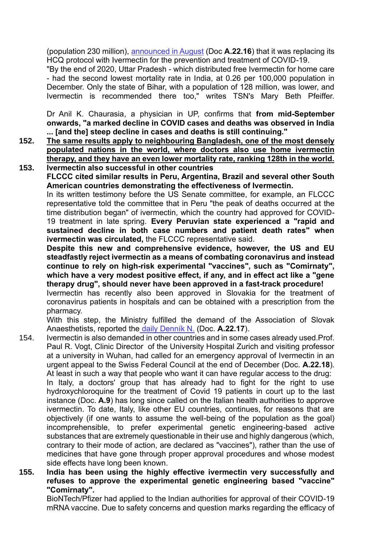(population 230 million), announced in August (Doc **A.22.16**) that it was replacing its HCQ protocol with Ivermectin for the prevention and treatment of COVID-19.

"By the end of 2020, Uttar Pradesh - which distributed free Ivermectin for home care - had the second lowest mortality rate in India, at 0.26 per 100,000 population in December. Only the state of Bihar, with a population of 128 million, was lower, and Ivermectin is recommended there too," writes TSN's Mary Beth Pfeiffer.

Dr Anil K. Chaurasia, a physician in UP, confirms that **from mid-September onwards, "a marked decline in COVID cases and deaths was observed in India ... [and the] steep decline in cases and deaths is still continuing."**

- **152. The same results apply to neighbouring Bangladesh, one of the most densely populated nations in the world, where doctors also use home ivermectin therapy, and they have an even lower mortality rate, ranking 128th in the world. 153. Ivermectin also successful in other countries**
	- **FLCCC cited similar results in Peru, Argentina, Brazil and several other South American countries demonstrating the effectiveness of Ivermectin.**

In its written testimony before the US Senate committee, for example, an FLCCC representative told the committee that in Peru "the peak of deaths occurred at the time distribution began" of ivermectin, which the country had approved for COVID-19 treatment in late spring. **Every Peruvian state experienced a "rapid and sustained decline in both case numbers and patient death rates" when ivermectin was circulated,** the FLCCC representative said.

**Despite this new and comprehensive evidence, however, the US and EU steadfastly reject ivermectin as a means of combating coronavirus and instead continue to rely on high-risk experimental "vaccines", such as "Comirnaty", which have a very modest positive effect, if any, and in effect act like a "gene therapy drug", should never have been approved in a fast-track procedure!**

Ivermectin has recently also been approved in Slovakia for the treatment of coronavirus patients in hospitals and can be obtained with a prescription from the pharmacy.

With this step, the Ministry fulfilled the demand of the Association of Slovak Anaesthetists, reported the daily Denník N. (Doc. **A.22.17**).

- 154. Ivermectin is also demanded in other countries and in some cases already used.Prof. Paul R. Vogt, Clinic Director of the University Hospital Zurich and visiting professor at a university in Wuhan, had called for an emergency approval of Ivermectin in an urgent appeal to the Swiss Federal Council at the end of December (Doc. **A.22.18**). At least in such a way that people who want it can have regular access to the drug: In Italy, a doctors' group that has already had to fight for the right to use hydroxychloroquine for the treatment of Covid 19 patients in court up to the last instance (Doc. **A.9**) has long since called on the Italian health authorities to approve ivermectin. To date, Italy, like other EU countries, continues, for reasons that are objectively (if one wants to assume the well-being of the population as the goal) incomprehensible, to prefer experimental genetic engineering-based active substances that are extremely questionable in their use and highly dangerous (which, contrary to their mode of action, are declared as "vaccines"), rather than the use of medicines that have gone through proper approval procedures and whose modest side effects have long been known.
- **155. India has been using the highly effective ivermectin very successfully and refuses to approve the experimental genetic engineering based "vaccine" "Comirnaty".**

BioNTech/Pfizer had applied to the Indian authorities for approval of their COVID-19 mRNA vaccine. Due to safety concerns and question marks regarding the efficacy of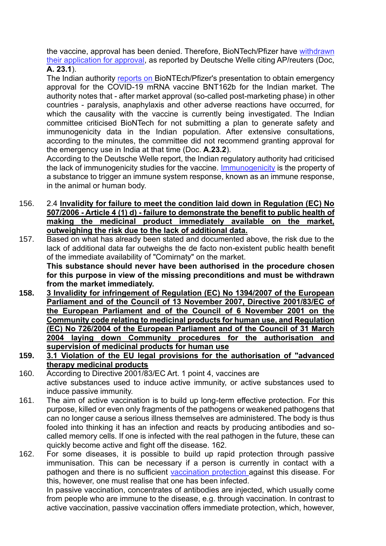the vaccine, approval has been denied. Therefore, BioNTech/Pfizer have withdrawn their application for approval, as reported by Deutsche Welle citing AP/reuters (Doc, **A. 23.1**).

The Indian authority reports on BioNTEch/Pfizer's presentation to obtain emergency approval for the COVID-19 mRNA vaccine BNT162b for the Indian market. The authority notes that - after market approval (so-called post-marketing phase) in other countries - paralysis, anaphylaxis and other adverse reactions have occurred, for which the causality with the vaccine is currently being investigated. The Indian committee criticised BioNTech for not submitting a plan to generate safety and immunogenicity data in the Indian population. After extensive consultations, according to the minutes, the committee did not recommend granting approval for the emergency use in India at that time (Doc. **A.23.2**).

According to the Deutsche Welle report, the Indian regulatory authority had criticised the lack of immunogenicity studies for the vaccine. Immunogenicity is the property of a substance to trigger an immune system response, known as an immune response, in the animal or human body.

- 156. 2.4 **Invalidity for failure to meet the condition laid down in Regulation (EC) No 507/2006 - Article 4 (1) d) - failure to demonstrate the benefit to public health of making the medicinal product immediately available on the market, outweighing the risk due to the lack of additional data.**
- 157. Based on what has already been stated and documented above, the risk due to the lack of additional data far outweighs the de facto non-existent public health benefit of the immediate availability of "Comirnaty" on the market. **This substance should never have been authorised in the procedure chosen for this purpose in view of the missing preconditions and must be withdrawn from the market immediately.**
- **158. 3 Invalidity for infringement of Regulation (EC) No 1394/2007 of the European Parliament and of the Council of 13 November 2007, Directive 2001/83/EC of the European Parliament and of the Council of 6 November 2001 on the Community code relating to medicinal products for human use, and Regulation (EC) No 726/2004 of the European Parliament and of the Council of 31 March 2004 laying down Community procedures for the authorisation and supervision of medicinal products for human use**
- **159. 3.1 Violation of the EU legal provisions for the authorisation of "advanced therapy medicinal products**
- 160. According to Directive 2001/83/EC Art. 1 point 4, vaccines are active substances used to induce active immunity, or active substances used to induce passive immunity.
- 161. The aim of active vaccination is to build up long-term effective protection. For this purpose, killed or even only fragments of the pathogens or weakened pathogens that can no longer cause a serious illness themselves are administered. The body is thus fooled into thinking it has an infection and reacts by producing antibodies and socalled memory cells. If one is infected with the real pathogen in the future, these can quickly become active and fight off the disease. 162.
- 162. For some diseases, it is possible to build up rapid protection through passive immunisation. This can be necessary if a person is currently in contact with a pathogen and there is no sufficient vaccination protection against this disease. For this, however, one must realise that one has been infected.

In passive vaccination, concentrates of antibodies are injected, which usually come from people who are immune to the disease, e.g. through vaccination. In contrast to active vaccination, passive vaccination offers immediate protection, which, however,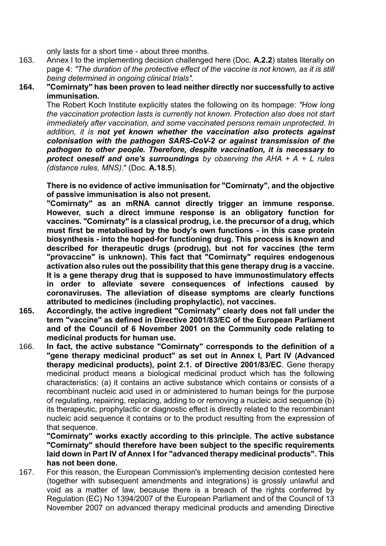only lasts for a short time - about three months.

- 163. Annex I to the implementing decision challenged here (Doc. **A.2.2**) states literally on page 4: *"The duration of the protective effect of the vaccine is not known, as it is still being determined in ongoing clinical trials".*
- **164. "Comirnaty" has been proven to lead neither directly nor successfully to active immunisation.**

The Robert Koch Institute explicitly states the following on its hompage: *"How long the vaccination protection lasts is currently not known. Protection also does not start immediately after vaccination, and some vaccinated persons remain unprotected. In addition, it is not yet known whether the vaccination also protects against colonisation with the pathogen SARS-CoV-2 or against transmission of the pathogen to other people. Therefore, despite vaccination, it is necessary to protect oneself and one's surroundings by observing the AHA + A + L rules (distance rules, MNS).*" (Doc. **A.18.5**).

**There is no evidence of active immunisation for "Comirnaty", and the objective of passive immunisation is also not present.**

**"Comirnaty" as an mRNA cannot directly trigger an immune response. However, such a direct immune response is an obligatory function for vaccines. "Comirnaty" is a classical prodrug, i.e. the precursor of a drug, which must first be metabolised by the body's own functions - in this case protein biosynthesis - into the hoped-for functioning drug. This process is known and described for therapeutic drugs (prodrug), but not for vaccines (the term "provaccine" is unknown). This fact that "Comirnaty" requires endogenous activation also rules out the possibility that this gene therapy drug is a vaccine. It is a gene therapy drug that is supposed to have immunostimulatory effects in order to alleviate severe consequences of infections caused by coronaviruses. The alleviation of disease symptoms are clearly functions attributed to medicines (including prophylactic), not vaccines.**

- **165. Accordingly, the active ingredient "Comirnaty" clearly does not fall under the term "vaccine" as defined in Directive 2001/83/EC of the European Parliament and of the Council of 6 November 2001 on the Community code relating to medicinal products for human use.**
- 166. **In fact, the active substance "Comirnaty" corresponds to the definition of a "gene therapy medicinal product" as set out in Annex I, Part IV (Advanced therapy medicinal products), point 2.1. of Directive 2001/83/EC**. Gene therapy medicinal product means a biological medicinal product which has the following characteristics: (a) it contains an active substance which contains or consists of a recombinant nucleic acid used in or administered to human beings for the purpose of regulating, repairing, replacing, adding to or removing a nucleic acid sequence (b) its therapeutic, prophylactic or diagnostic effect is directly related to the recombinant nucleic acid sequence it contains or to the product resulting from the expression of that sequence.

**"Comirnaty" works exactly according to this principle. The active substance "Comirnaty" should therefore have been subject to the specific requirements laid down in Part IV of Annex I for "advanced therapy medicinal products". This has not been done.**

167. For this reason, the European Commission's implementing decision contested here (together with subsequent amendments and integrations) is grossly unlawful and void as a matter of law, because there is a breach of the rights conferred by Regulation (EC) No 1394/2007 of the European Parliament and of the Council of 13 November 2007 on advanced therapy medicinal products and amending Directive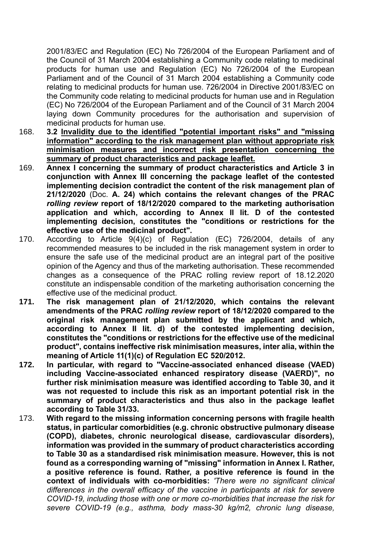2001/83/EC and Regulation (EC) No 726/2004 of the European Parliament and of the Council of 31 March 2004 establishing a Community code relating to medicinal products for human use and Regulation (EC) No 726/2004 of the European Parliament and of the Council of 31 March 2004 establishing a Community code relating to medicinal products for human use. 726/2004 in Directive 2001/83/EC on the Community code relating to medicinal products for human use and in Regulation (EC) No 726/2004 of the European Parliament and of the Council of 31 March 2004 laying down Community procedures for the authorisation and supervision of medicinal products for human use.

- 168. **3.2 Invalidity due to the identified "potential important risks" and "missing information" according to the risk management plan without appropriate risk minimisation measures and incorrect risk presentation concerning the summary of product characteristics and package leaflet.**
- 169. **Annex I concerning the summary of product characteristics and Article 3 in conjunction with Annex III concerning the package leaflet of the contested implementing decision contradict the content of the risk management plan of 21/12/2020** (Doc. **A. 24) which contains the relevant changes of the PRAC**  *rolling review* **report of 18/12/2020 compared to the marketing authorisation application and which, according to Annex II lit. D of the contested implementing decision, constitutes the "conditions or restrictions for the effective use of the medicinal product".**
- 170. According to Article 9(4)(c) of Regulation (EC) 726/2004, details of any recommended measures to be included in the risk management system in order to ensure the safe use of the medicinal product are an integral part of the positive opinion of the Agency and thus of the marketing authorisation. These recommended changes as a consequence of the PRAC rolling review report of 18.12.2020 constitute an indispensable condition of the marketing authorisation concerning the effective use of the medicinal product.
- **171. The risk management plan of 21/12/2020, which contains the relevant amendments of the PRAC** *rolling review* **report of 18/12/2020 compared to the original risk management plan submitted by the applicant and which, according to Annex II lit. d) of the contested implementing decision, constitutes the "conditions or restrictions for the effective use of the medicinal product", contains ineffective risk minimisation measures, inter alia, within the meaning of Article 11(1)(c) of Regulation EC 520/2012.**
- **172. In particular, with regard to "Vaccine-associated enhanced disease (VAED) including Vaccine-associated enhanced respiratory disease (VAERD)", no further risk minimisation measure was identified according to Table 30, and it was not requested to include this risk as an important potential risk in the summary of product characteristics and thus also in the package leaflet according to Table 31/33.**
- 173. **With regard to the missing information concerning persons with fragile health status, in particular comorbidities (e.g. chronic obstructive pulmonary disease (COPD), diabetes, chronic neurological disease, cardiovascular disorders), information was provided in the summary of product characteristics according to Table 30 as a standardised risk minimisation measure. However, this is not found as a corresponding warning of "missing" information in Annex I. Rather, a positive reference is found. Rather, a positive reference is found in the context of individuals with co-morbidities:** *'There were no significant clinical differences in the overall efficacy of the vaccine in participants at risk for severe COVID-19, including those with one or more co-morbidities that increase the risk for severe COVID-19 (e.g., asthma, body mass-30 kg/m2, chronic lung disease,*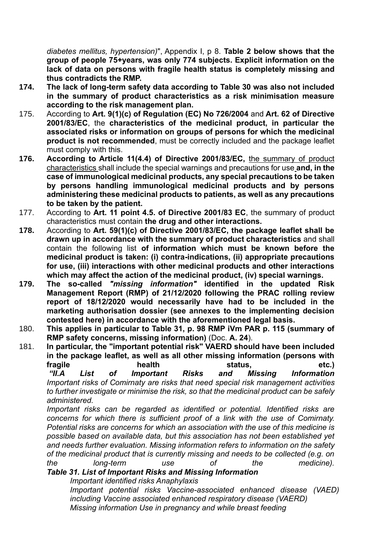*diabetes mellitus, hypertension)*", Appendix I, p 8. **Table 2 below shows that the group of people 75+years, was only 774 subjects. Explicit information on the lack of data on persons with fragile health status is completely missing and thus contradicts the RMP.**

- **174. The lack of long-term safety data according to Table 30 was also not included in the summary of product characteristics as a risk minimisation measure according to the risk management plan.**
- 175. According to **Art. 9(1)(c) of Regulation (EC) No 726/2004** and **Art. 62 of Directive 2001/83/EC**, the **characteristics of the medicinal product, in particular the associated risks or information on groups of persons for which the medicinal product is not recommended**, must be correctly included and the package leaflet must comply with this.
- **176. According to Article 11(4.4) of Directive 2001/83/EC,** the summary of product characteristics shall include the special warnings and precautions for use **and, in the case of immunological medicinal products, any special precautions to be taken by persons handling immunological medicinal products and by persons administering these medicinal products to patients, as well as any precautions to be taken by the patient.**
- 177. According to **Art. 11 point 4.5. of Directive 2001/83 EC**, the summary of product characteristics must contain **the drug and other interactions.**
- **178.** According to **Art. 59(1)(c) of Directive 2001/83/EC, the package leaflet shall be drawn up in accordance with the summary of product characteristics** and shall contain the following list **of information which must be known before the medicinal product is taken: (i) contra-indications, (ii) appropriate precautions for use, (iii) interactions with other medicinal products and other interactions which may affect the action of the medicinal product, (iv) special warnings.**
- **179. The so-called** *"missing information"* **identified in the updated Risk Management Report (RMP) of 21/12/2020 following the PRAC rolling review report of 18/12/2020 would necessarily have had to be included in the marketing authorisation dossier (see annexes to the implementing decision contested here) in accordance with the aforementioned legal basis.**
- 180. **This applies in particular to Table 31, p. 98 RMP iVm PAR p. 115 (summary of RMP safety concerns, missing information)** (Doc. **A. 24**).
- 181. **In particular, the "important potential risk" VAERD should have been included in the package leaflet, as well as all other missing information (persons with fragile health status, etc.)** *"II.A List of Important Risks and Missing Information*

*Important risks of Comirnaty are risks that need special risk management activities to further investigate or minimise the risk, so that the medicinal product can be safely administered.*

*Important risks can be regarded as identified or potential. Identified risks are concerns for which there is sufficient proof of a link with the use of Comirnaty. Potential risks are concerns for which an association with the use of this medicine is possible based on available data, but this association has not been established yet and needs further evaluation. Missing information refers to information on the safety of the medicinal product that is currently missing and needs to be collected (e.g. on the long-term use of the medicine).*

*Table 31. List of Important Risks and Missing Information*

*Important identified risks Anaphylaxis*

*Important potential risks Vaccine-associated enhanced disease (VAED) including Vaccine associated enhanced respiratory disease (VAERD) Missing information Use in pregnancy and while breast feeding*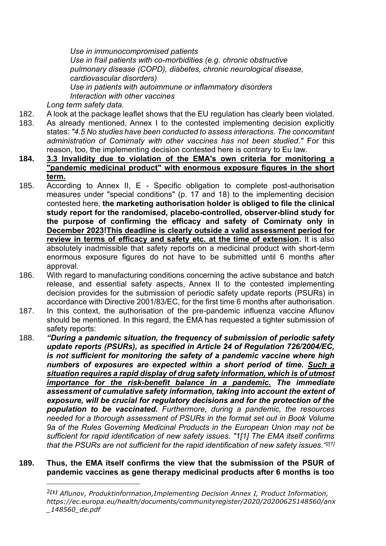*Use in immunocompromised patients Use in frail patients with co-morbidities (e.g. chronic obstructive pulmonary disease (COPD), diabetes, chronic neurological disease, cardiovascular disorders) Use in patients with autoimmune or inflammatory disorders Interaction with other vaccines*

*Long term safety data.*

182. A look at the package leaflet shows that the EU regulation has clearly been violated.

- 183. As already mentioned, Annex I to the contested implementing decision explicitly states: *"4.5 No studies have been conducted to assess interactions. The concomitant administration of Comirnaty with other vaccines has not been studied."* For this reason, too, the implementing decision contested here is contrary to Eu law.
- **184. 3.3 Invalidity due to violation of the EMA's own criteria for monitoring a "pandemic medicinal product" with enormous exposure figures in the short term.**
- 185. According to Annex II, E Specific obligation to complete post-authorisation measures under "special conditions" (p. 17 and 18) to the implementing decision contested here, **the marketing authorisation holder is obliged to file the clinical study report for the randomised, placebo-controlled, observer-blind study for the purpose of confirming the efficacy and safety of Comirnaty only in December 2023!This deadline is clearly outside a valid assessment period for review in terms of efficacy and safety etc. at the time of extension.** It is also absolutely inadmissible that safety reports on a medicinal product with short-term enormous exposure figures do not have to be submitted until 6 months after approval.
- 186. With regard to manufacturing conditions concerning the active substance and batch release, and essential safety aspects, Annex II to the contested implementing decision provides for the submission of periodic safety update reports (PSURs) in accordance with Directive 2001/83/EC, for the first time 6 months after authorisation.
- 187. In this context, the authorisation of the pre-pandemic influenza vaccine Aflunov should be mentioned. In this regard, the EMA has requested a tighter submission of safety reports:
- 188. *"During a pandemic situation, the frequency of submission of periodic safety update reports (PSURs), as specified in Article 24 of Regulation 726/2004/EC, is not sufficient for monitoring the safety of a pandemic vaccine where high numbers of exposures are expected within a short period of time. Such a situation requires a rapid display of drug safety information, which is of utmost importance for the risk-benefit balance in a pandemic. The immediate assessment of cumulative safety information, taking into account the extent of exposure, will be crucial for regulatory decisions and for the protection of the population to be vaccinated. Furthermore, during a pandemic, the resources needed for a thorough assessment of PSURs in the format set out in Book Volume 9a of the Rules Governing Medicinal Products in the European Union may not be sufficient for rapid identification of new safety issues. "1[1] The EMA itself confirms that the PSURs are not sufficient for the rapid identification of new safety issues."2[1]*

#### **189. Thus, the EMA itself confirms the view that the submission of the PSUR of pandemic vaccines as gene therapy medicinal products after 6 months is too**

<sup>2</sup>*[1] Aflunov, Produktinformation,Implementing Decision Annex I, Product Information, [https://ec.europa.eu/health/documents/communityregister/2020/20200625148560/anx](https://ec.europa.eu/health/documents/community-register/2020/20200625148560/anx_148560_de.pdf) [\\_148560\\_de.pdf](https://ec.europa.eu/health/documents/community-register/2020/20200625148560/anx_148560_de.pdf)*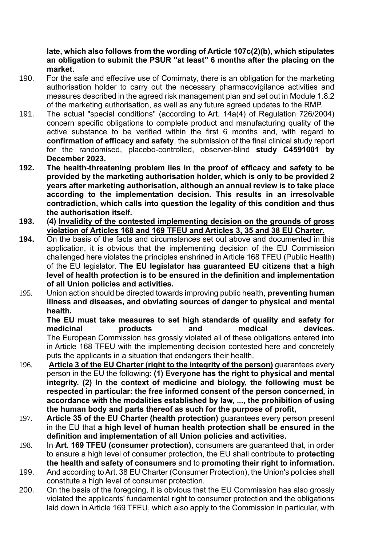### **late, which also follows from the wording of Article 107c(2)(b), which stipulates an obligation to submit the PSUR "at least" 6 months after the placing on the market.**

- 190. For the safe and effective use of Comirnaty, there is an obligation for the marketing authorisation holder to carry out the necessary pharmacovigilance activities and measures described in the agreed risk management plan and set out in Module 1.8.2 of the marketing authorisation, as well as any future agreed updates to the RMP.
- 191. The actual "special conditions" (according to Art. 14a(4) of Regulation 726/2004) concern specific obligations to complete product and manufacturing quality of the active substance to be verified within the first 6 months and, with regard to **confirmation of efficacy and safety**, the submission of the final clinical study report for the randomised, placebo-controlled, observer-blind **study C4591001 by December 2023.**
- **192. The health-threatening problem lies in the proof of efficacy and safety to be provided by the marketing authorisation holder, which is only to be provided 2 years after marketing authorisation, although an annual review is to take place according to the implementation decision. This results in an irresolvable contradiction, which calls into question the legality of this condition and thus the authorisation itself.**
- **193. (4) Invalidity of the contested implementing decision on the grounds of gross violation of Articles 168 and 169 TFEU and Articles 3, 35 and 38 EU Charter.**
- **194.** On the basis of the facts and circumstances set out above and documented in this application, it is obvious that the implementing decision of the EU Commission challenged here violates the principles enshrined in Article 168 TFEU (Public Health) of the EU legislator. **The EU legislator has guaranteed EU citizens that a high level of health protection is to be ensured in the definition and implementation of all Union policies and activities.**
- 195. Union action should be directed towards improving public health, **preventing human illness and diseases, and obviating sources of danger to physical and mental health.**

**The EU must take measures to set high standards of quality and safety for medicinal products and medical devices.** The European Commission has grossly violated all of these obligations entered into in Article 168 TFEU with the implementing decision contested here and concretely puts the applicants in a situation that endangers their health.

- 196. **Article 3 of the EU Charter (right to the integrity of the person)** guarantees every person in the EU the following: **(1) Everyone has the right to physical and mental integrity. (2) In the context of medicine and biology, the following must be respected in particular: the free informed consent of the person concerned, in accordance with the modalities established by law, ..., the prohibition of using the human body and parts thereof as such for the purpose of profit,**
- 197. **Article 35 of the EU Charter (health protection)** guarantees every person present in the EU that **a high level of human health protection shall be ensured in the definition and implementation of all Union policies and activities.**
- 198. In **Art. 169 TFEU (consumer protection),** consumers are guaranteed that, in order to ensure a high level of consumer protection, the EU shall contribute to **protecting the health and safety of consumers** and to **promoting their right to information.**
- 199. And according to Art. 38 EU Charter (Consumer Protection), the Union's policies shall constitute a high level of consumer protection.
- 200. On the basis of the foregoing, it is obvious that the EU Commission has also grossly violated the applicants' fundamental right to consumer protection and the obligations laid down in Article 169 TFEU, which also apply to the Commission in particular, with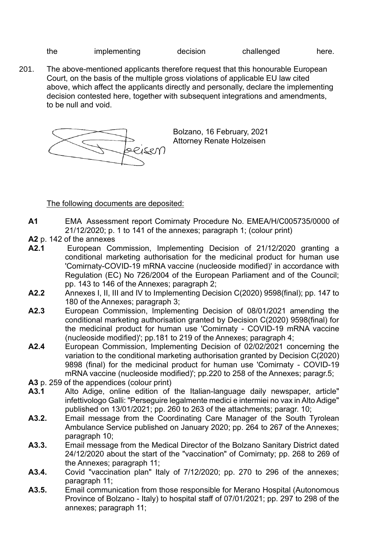```
the implementing decision challenged here.
```
- 
- 201. The above-mentioned applicants therefore request that this honourable European Court, on the basis of the multiple gross violations of applicable EU law cited above, which affect the applicants directly and personally, declare the implementing decision contested here, together with subsequent integrations and amendments, to be null and void.



Bolzano, 16 February, 2021 Attorney Renate Holzeisen

The following documents are deposited:

- **A1** EMA Assessment report Comirnaty Procedure No. EMEA/H/C005735/0000 of 21/12/2020; p. 1 to 141 of the annexes; paragraph 1; (colour print)
- **A2** p. 142 of the annexes
- **A2.1** European Commission, Implementing Decision of 21/12/2020 granting a conditional marketing authorisation for the medicinal product for human use 'Comirnaty-COVID-19 mRNA vaccine (nucleoside modified)' in accordance with Regulation (EC) No 726/2004 of the European Parliament and of the Council; pp. 143 to 146 of the Annexes; paragraph 2;
- **A2.2** Annexes I, II, III and IV to Implementing Decision C(2020) 9598(final); pp. 147 to 180 of the Annexes; paragraph 3;
- **A2.3** European Commission, Implementing Decision of 08/01/2021 amending the conditional marketing authorisation granted by Decision C(2020) 9598(final) for the medicinal product for human use 'Comirnaty - COVID-19 mRNA vaccine (nucleoside modified)'; pp.181 to 219 of the Annexes; paragraph 4;
- **A2.4** European Commission, Implementing Decision of 02/02/2021 concerning the variation to the conditional marketing authorisation granted by Decision C(2020) 9898 (final) for the medicinal product for human use 'Comirnaty - COVID-19 mRNA vaccine (nucleoside modified)'; pp.220 to 258 of the Annexes; paragr.5;
- **A3** p. 259 of the appendices (colour print)
- **A3.1** Alto Adige, online edition of the Italian-language daily newspaper, article" infettivologo Galli: "Perseguire legalmente medici e intermiei no vax in Alto Adige" published on 13/01/2021; pp. 260 to 263 of the attachments; paragr. 10;
- **A3.2.** Email message from the Coordinating Care Manager of the South Tyrolean Ambulance Service published on January 2020; pp. 264 to 267 of the Annexes; paragraph 10;
- **A3.3.** Email message from the Medical Director of the Bolzano Sanitary District dated 24/12/2020 about the start of the "vaccination" of Comirnaty; pp. 268 to 269 of the Annexes; paragraph 11;
- **A3.4.** Covid "vaccination plan" Italy of 7/12/2020; pp. 270 to 296 of the annexes; paragraph 11;
- **A3.5.** Email communication from those responsible for Merano Hospital (Autonomous Province of Bolzano - Italy) to hospital staff of 07/01/2021; pp. 297 to 298 of the annexes; paragraph 11;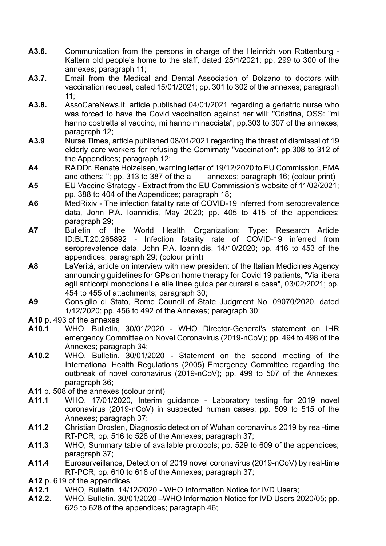- **A3.6.** Communication from the persons in charge of the Heinrich von Rottenburg Kaltern old people's home to the staff, dated 25/1/2021; pp. 299 to 300 of the annexes; paragraph 11;
- **A3.7**. Email from the Medical and Dental Association of Bolzano to doctors with vaccination request, dated 15/01/2021; pp. 301 to 302 of the annexes; paragraph 11;
- **A3.8.** AssoCareNews.it, article published 04/01/2021 regarding a geriatric nurse who was forced to have the Covid vaccination against her will: "Cristina, OSS: "mi hanno costretta al vaccino, mi hanno minacciata"; pp.303 to 307 of the annexes; paragraph 12;
- **A3.9** Nurse Times, article published 08/01/2021 regarding the threat of dismissal of 19 elderly care workers for refusing the Comirnaty "vaccination"; pp.308 to 312 of the Appendices; paragraph 12;
- **A4** RA DDr. Renate Holzeisen, warning letter of 19/12/2020 to EU Commission, EMA and others; "; pp. 313 to 387 of the a annexes; paragraph 16; (colour print)
- **A5** EU Vaccine Strategy Extract from the EU Commission's website of 11/02/2021; pp. 388 to 404 of the Appendices; paragraph 18;
- **A6** MedRixiv The infection fatality rate of COVID-19 inferred from seroprevalence data, John P.A. Ioannidis, May 2020; pp. 405 to 415 of the appendices; paragraph 29;
- **A7** Bulletin of the World Health Organization: Type: Research Article ID:BLT.20.265892 - Infection fatality rate of COVID-19 inferred from seroprevalence data, John P.A. Ioannidis, 14/10/2020; pp. 416 to 453 of the appendices; paragraph 29; (colour print)
- **A8** LaVerità, article on interview with new president of the Italian Medicines Agency announcing guidelines for GPs on home therapy for Covid 19 patients, "Via libera agli anticorpi monoclonali e alle linee guida per curarsi a casa", 03/02/2021; pp. 454 to 455 of attachments; paragraph 30;
- **A9** Consiglio di Stato, Rome Council of State Judgment No. 09070/2020, dated 1/12/2020; pp. 456 to 492 of the Annexes; paragraph 30;
- **A10** p. 493 of the annexes
- **A10.1** WHO, Bulletin, 30/01/2020 WHO Director-General's statement on IHR emergency Committee on Novel Coronavirus (2019-nCoV); pp. 494 to 498 of the Annexes; paragraph 34;
- **A10.2** WHO, Bulletin, 30/01/2020 Statement on the second meeting of the International Health Regulations (2005) Emergency Committee regarding the outbreak of novel coronavirus (2019-nCoV); pp. 499 to 507 of the Annexes; paragraph 36;
- **A11** p. 508 of the annexes (colour print)
- **A11.1** WHO, 17/01/2020, Interim guidance Laboratory testing for 2019 novel coronavirus (2019-nCoV) in suspected human cases; pp. 509 to 515 of the Annexes; paragraph 37;
- **A11.2** Christian Drosten, Diagnostic detection of Wuhan coronavirus 2019 by real-time RT-PCR; pp. 516 to 528 of the Annexes; paragraph 37;
- **A11.3** WHO, Summary table of available protocols; pp. 529 to 609 of the appendices; paragraph 37;
- **A11.4** Eurosurveillance, Detection of 2019 novel coronavirus (2019-nCoV) by real-time RT-PCR; pp. 610 to 618 of the Annexes; paragraph 37;
- **A12** p. 619 of the appendices
- **A12.1** WHO, Bulletin, 14/12/2020 WHO Information Notice for IVD Users;
- **A12.2**. WHO, Bulletin, 30/01/2020 –WHO Information Notice for IVD Users 2020/05; pp. 625 to 628 of the appendices; paragraph 46;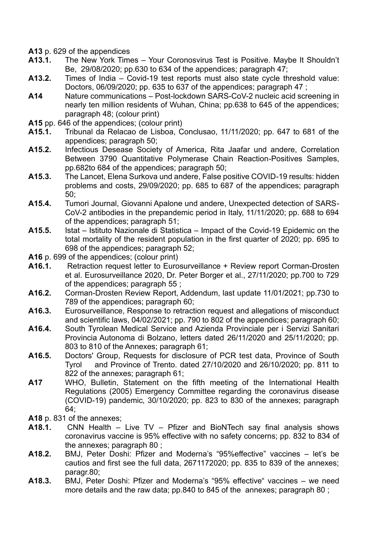- **A13** p. 629 of the appendices
- **A13.1.** The New York Times Your Coronosvirus Test is Positive. Maybe It Shouldn't Be, 29/08/2020; pp.630 to 634 of the appendices; paragraph 47;
- **A13.2.** Times of India Covid-19 test reports must also state cycle threshold value: Doctors, 06/09/2020; pp. 635 to 637 of the appendices; paragraph 47 ;
- **A14** Nature communications Post-lockdown SARS-CoV-2 nucleic acid screening in nearly ten million residents of Wuhan, China; pp.638 to 645 of the appendices; paragraph 48; (colour print)
- **A15** pp. 646 of the appendices; (colour print)
- **A15.1.** Tribunal da Relacao de Lisboa, Conclusao, 11/11/2020; pp. 647 to 681 of the appendices; paragraph 50;
- **A15.2.** Infectious Desease Society of America, Rita Jaafar und andere, Correlation Between 3790 Quantitative Polymerase Chain Reaction-Positives Samples, pp.682to 684 of the appendices; paragraph 50;
- **A15.3.** The Lancet, Elena Surkova und andere, False positive COVID-19 results: hidden problems and costs, 29/09/2020; pp. 685 to 687 of the appendices; paragraph 50;
- **A15.4.** Tumori Journal, Giovanni Apalone und andere, Unexpected detection of SARS-CoV-2 antibodies in the prepandemic period in Italy, 11/11/2020; pp. 688 to 694 of the appendices; paragraph 51;
- **A15.5.** Istat Istituto Nazionale di Statistica Impact of the Covid-19 Epidemic on the total mortality of the resident population in the first quarter of 2020; pp. 695 to 698 of the appendices; paragraph 52;
- **A16** p. 699 of the appendices; (colour print)
- **A16.1.** Retraction request letter to Eurosurveillance + Review report Corman-Drosten et al. Eurosurveillance 2020, Dr. Peter Borger et al., 27/11/2020; pp.700 to 729 of the appendices; paragraph 55 ;
- **A16.2.** Corman-Drosten Review Report, Addendum, last update 11/01/2021; pp.730 to 789 of the appendices; paragraph 60;
- **A16.3.** Eurosurveillance, Response to retraction request and allegations of misconduct and scientific laws, 04/02/2021; pp. 790 to 802 of the appendices; paragraph 60;
- **A16.4.** South Tyrolean Medical Service and Azienda Provinciale per i Servizi Sanitari Provincia Autonoma di Bolzano, letters dated 26/11/2020 and 25/11/2020; pp. 803 to 810 of the Annexes; paragraph 61;
- **A16.5.** Doctors' Group, Requests for disclosure of PCR test data, Province of South Tyrol and Province of Trento. dated 27/10/2020 and 26/10/2020; pp. 811 to 822 of the annexes; paragraph 61;
- **A17** WHO, Bulletin, Statement on the fifth meeting of the International Health Regulations (2005) Emergency Committee regarding the coronavirus disease (COVID-19) pandemic, 30/10/2020; pp. 823 to 830 of the annexes; paragraph 64;
- **A18** p. 831 of the annexes;
- **A18.1.** CNN Health Live TV Pfizer and BioNTech say final analysis shows coronavirus vaccine is 95% effective with no safety concerns; pp. 832 to 834 of the annexes; paragraph 80 ;
- **A18.2.** BMJ, Peter Doshi: Pfizer and Moderna's "95%effective" vaccines let's be cautios and first see the full data, 2671172020; pp. 835 to 839 of the annexes; paragr.80;
- **A18.3.** BMJ, Peter Doshi: Pfizer and Moderna's "95% effective" vaccines we need more details and the raw data; pp.840 to 845 of the annexes; paragraph 80 ;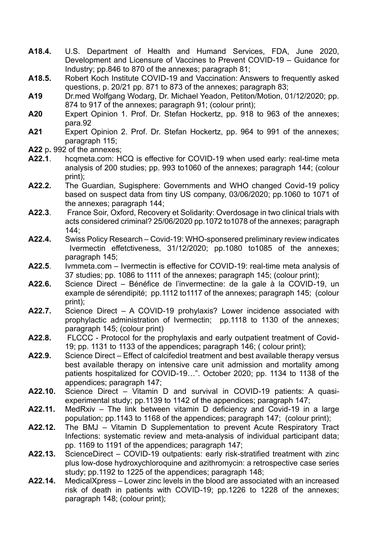- **A18.4.** U.S. Department of Health and Humand Services, FDA, June 2020, Development and Licensure of Vaccines to Prevent COVID-19 – Guidance for Industry; pp.846 to 870 of the annexes; paragraph 81;
- **A18.5.** Robert Koch Institute COVID-19 and Vaccination: Answers to frequently asked questions, p. 20/21 pp. 871 to 873 of the annexes; paragraph 83;
- **A19** Dr.med Wolfgang Wodarg, Dr. Michael Yeadon, Petiton/Motion, 01/12/2020; pp. 874 to 917 of the annexes; paragraph 91; (colour print);
- **A20** Expert Opinion 1. Prof. Dr. Stefan Hockertz, pp. 918 to 963 of the annexes; para.92
- **A21** Expert Opinion 2. Prof. Dr. Stefan Hockertz, pp. 964 to 991 of the annexes; paragraph 115;
- **A22** p**.** 992 of the annexes;
- **A22.1**. hcqmeta.com: HCQ is effective for COVID-19 when used early: real-time meta analysis of 200 studies; pp. 993 to1060 of the annexes; paragraph 144; (colour print);
- **A22.2.** The Guardian, Sugisphere: Governments and WHO changed Covid-19 policy based on suspect data from tiny US company, 03/06/2020; pp.1060 to 1071 of the annexes; paragraph 144;
- **A22.3**. France Soir, Oxford, Recovery et Solidarity: Overdosage in two clinical trials with acts considered criminal? 25/06/2020 pp.1072 to1078 of the annexes; paragraph 144;
- **A22.4.** Swiss Policy Research Covid-19: WHO-sponsered preliminary review indicates Ivermectin effetctiveness, 31/12/2020; pp.1080 to1085 of the annexes; paragraph 145;
- **A22.5**. Ivmmeta.com Ivermectin is effective for COVID-19: real-time meta analysis of 37 studies; pp. 1086 to 1111 of the annexes; paragraph 145; (colour print);
- **A22.6.** Science Direct Bénéfice de l'invermectine: de la gale à la COVID-19, un example de sérendipité; pp.1112 to1117 of the annexes; paragraph 145; (colour print);
- **A22.7.** Science Direct A COVID-19 prohylaxis? Lower incidence associated with prophylactic administration of Ivermectin; pp.1118 to 1130 of the annexes; paragraph 145; (colour print)
- **A22.8.** FLCCC Protocol for the prophylaxis and early outpatient treatment of Covid-19; pp. 1131 to 1133 of the appendices; paragraph 146; ( colour print);
- **A22.9.** Science Direct Effect of calcifediol treatment and best available therapy versus best available therapy on intensive care unit admission and mortality among patients hospitalized for COVID-19…". October 2020; pp. 1134 to 1138 of the appendices; paragraph 147;
- **A22.10.** Science Direct Vitamin D and survival in COVID-19 patients: A quasiexperimental study; pp.1139 to 1142 of the appendices; paragraph 147;
- **A22.11.** MedRxiv The link between vitamin D deficiency and Covid-19 in a large population; pp.1143 to 1168 of the appendices; paragraph 147; (colour print);
- **A22.12.** The BMJ Vitamin D Supplementation to prevent Acute Respiratory Tract Infections: systematic review and meta-analysis of individual participant data; pp. 1169 to 1191 of the appendices; paragraph 147;
- **A22.13.** ScienceDirect COVID-19 outpatients: early risk-stratified treatment with zinc plus low-dose hydroxychloroquine and azithromycin: a retrospective case series study; pp.1192 to 1225 of the appendices; paragraph 148;
- **A22.14.** MedicalXpress Lower zinc levels in the blood are associated with an increased risk of death in patients with COVID-19; pp.1226 to 1228 of the annexes; paragraph 148; (colour print);